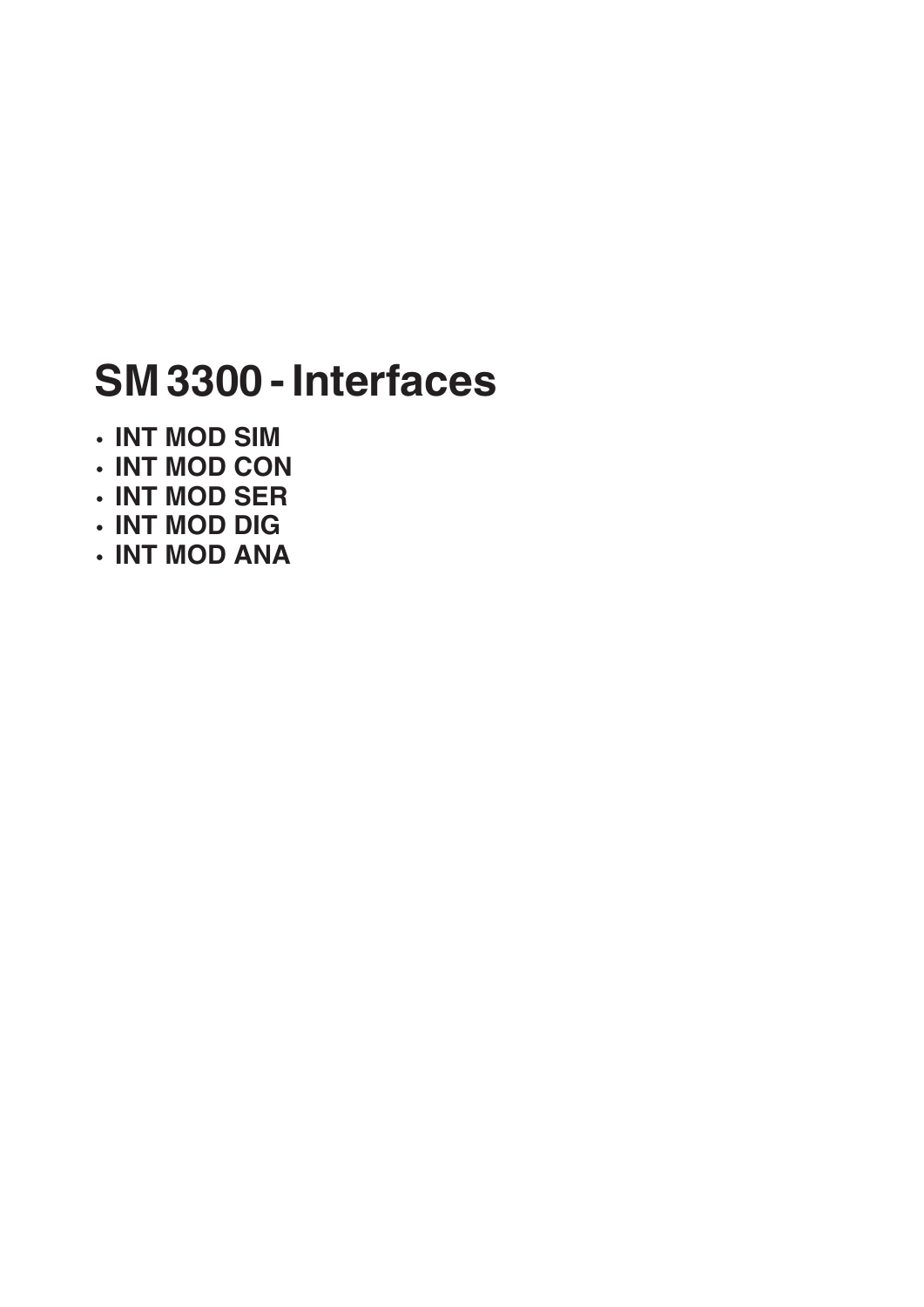# **SM 3300 - Interfaces**

- **INT MOD SIM**
- **INT MOD CON**
- **INT MOD SER**
- **INT MOD DIG**
- **INT MOD ANA**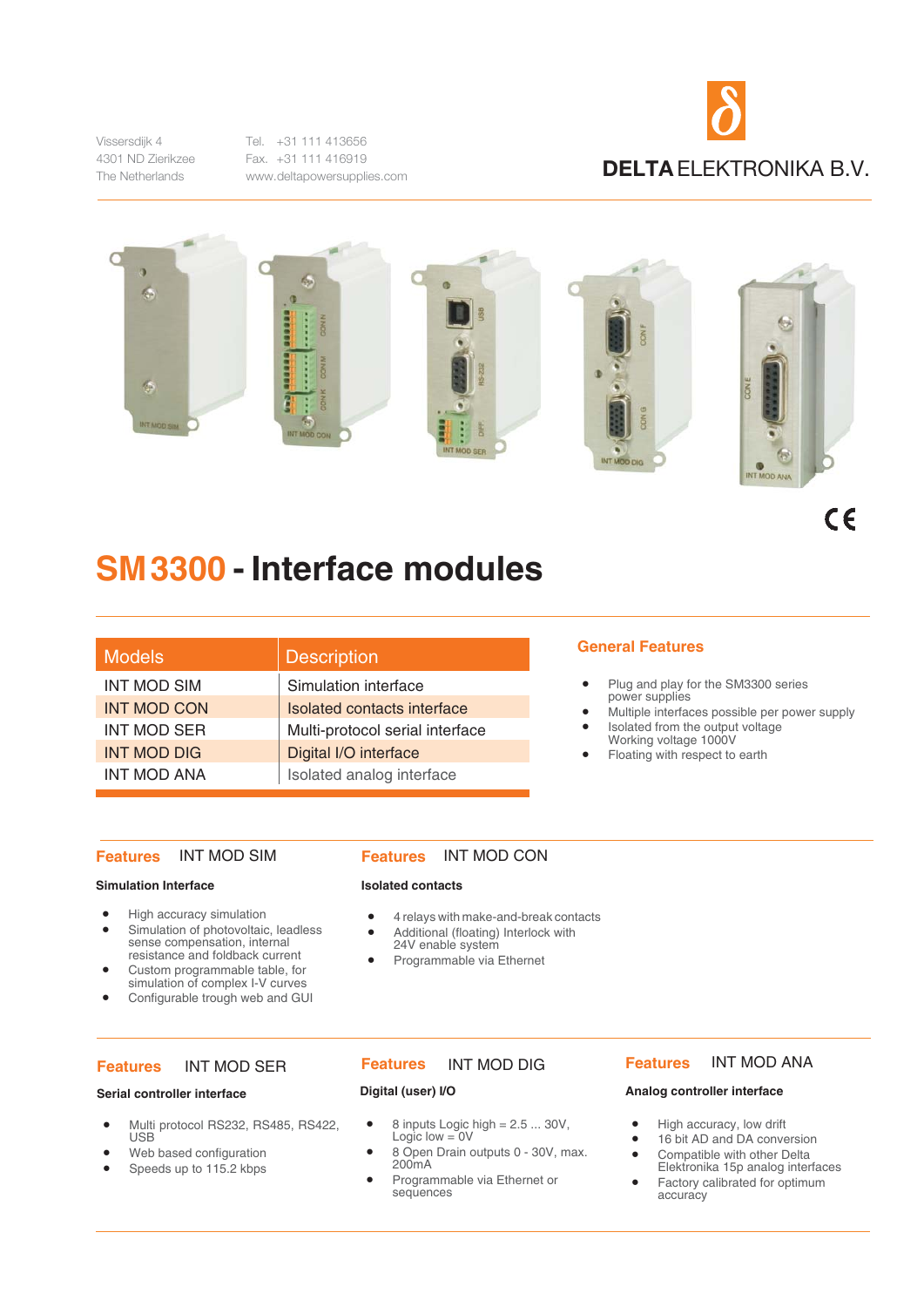Vissersdijk 4 4301 ND Zierikzee The Netherlands

Tel. +31 111 413656 Fax. +31 111 416919 www.deltapowersupplies.com





 $c \epsilon$ 

## **SM3300 - Interface modules**

| Models             | <b>Description</b>              | <b>General Features</b>                   |
|--------------------|---------------------------------|-------------------------------------------|
| <b>INT MOD SIM</b> | Simulation interface            | Plug and play for                         |
| <b>INT MOD CON</b> | Isolated contacts interface     | power supplies<br>Multiple interface      |
| <b>INT MOD SER</b> | Multi-protocol serial interface | Isolated from the<br>٠<br>Working voltage |
| <b>INT MOD DIG</b> | Digital I/O interface           | Floating with resp<br>$\bullet$           |
| <b>INT MOD ANA</b> | Isolated analog interface       |                                           |

#### **Features** INT MOD SIM

#### **Simulation Interface**

- High accuracy simulation
- Simulation of photovoltaic, leadless sense compensation, internal resistance and foldback current
- Custom programmable table, for simulation of complex I-V curves
- Configurable trough web and GUI

#### **Features** INT MOD SER

#### **Serial controller interface**

- Multi protocol RS232, RS485, RS422, USB
- Web based configuration
- Speeds up to 115.2 kbps

#### **Features** INT MOD CON

#### **Isolated contacts**

- 4 relays with make-and-break contacts
- Additional (floating) Interlock with
- 24V enable system
- Programmable via Ethernet

#### **Features** INT MOD DIG **Features** INT MOD ANA

#### **Digital (user) I/O**

- 8 inputs Logic high = 2.5 ... 30V,<br>Logic low = 0V
- 8 Open Drain outputs 0 30V, max. 200mA
	- Programmable via Ethernet or sequences

- Plug and play for the SM3300 series power supplies
- Multiple interfaces possible per power supply
- Isolated from the output voltage Working voltage 1000V
- Floating with respect to earth

#### **Features**

#### **Analog controller interface**

- High accuracy, low drift
- 16 bit AD and DA conversion
- Compatible with other Delta Elektronika 15p analog interfaces
- Factory calibrated for optimum accuracy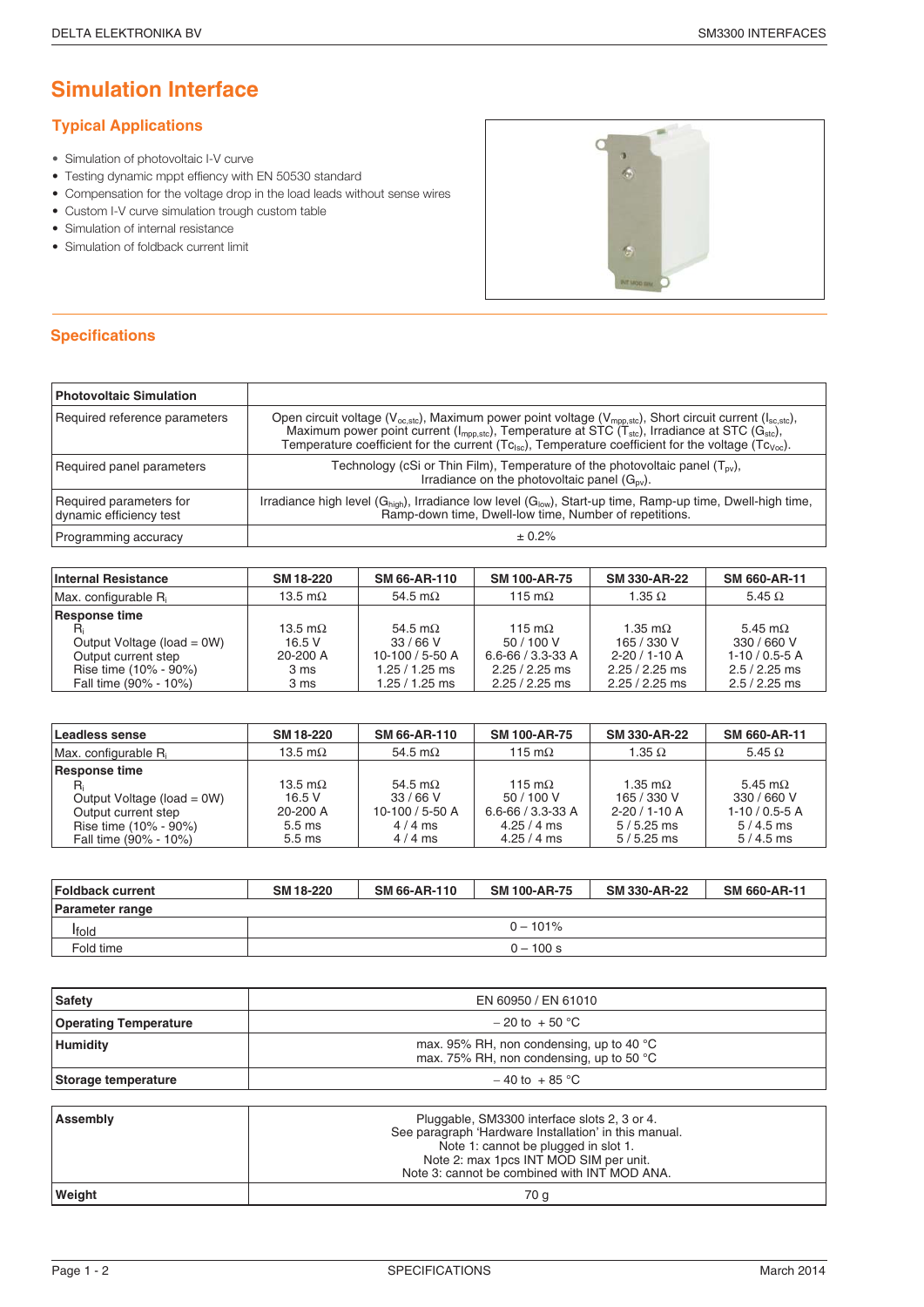### **Simulation Interface**

#### **Typical Applications**

- Simulation of photovoltaic I-V curve
- Testing dynamic mppt effiency with EN 50530 standard
- Compensation for the voltage drop in the load leads without sense wires
- Custom I-V curve simulation trough custom table
- Simulation of internal resistance
- Simulation of foldback current limit



| <b>Photovoltaic Simulation</b>                     |                                                                                                                                                                                                                                                                                                                                                                                                 |
|----------------------------------------------------|-------------------------------------------------------------------------------------------------------------------------------------------------------------------------------------------------------------------------------------------------------------------------------------------------------------------------------------------------------------------------------------------------|
| Required reference parameters                      | Open circuit voltage ( $V_{oc,sto}$ ), Maximum power point voltage ( $V_{mpp,sto}$ ), Short circuit current ( $I_{sc,sto}$ ),<br>Maximum power point current (I <sub>mpp,stc</sub> ), Temperature at STC (T <sub>stc</sub> ), Irradiance at STC (G <sub>stc</sub> ),<br>Temperature coefficient for the current ( $Tc_{\rm lsc}$ ), Temperature coefficient for the voltage ( $Tc_{\rm voc}$ ). |
| Required panel parameters                          | Technology (cSi or Thin Film), Temperature of the photovoltaic panel $(T_{ov})$ ,<br>Irradiance on the photovoltaic panel $(G_{ov})$ .                                                                                                                                                                                                                                                          |
| Required parameters for<br>dynamic efficiency test | Irradiance high level (G <sub>high</sub> ), Irradiance low level (G <sub>low</sub> ), Start-up time, Ramp-up time, Dwell-high time,<br>Ramp-down time, Dwell-low time, Number of repetitions.                                                                                                                                                                                                   |
| Programming accuracy                               | ± 0.2%                                                                                                                                                                                                                                                                                                                                                                                          |

| Internal Resistance        | SM 18-220       | <b>SM 66-AR-110</b> | <b>SM 100-AR-75</b>     | SM 330-AR-22        | SM 660-AR-11    |
|----------------------------|-----------------|---------------------|-------------------------|---------------------|-----------------|
| $Max$ . configurable $R_i$ | 13.5 m $\Omega$ | 54.5 m $\Omega$     | 115 m $\Omega$          | 1.35 $\Omega$       | 5.45 $\Omega$   |
| Response time              |                 |                     |                         |                     |                 |
|                            | 13.5 m $\Omega$ | 54.5 m $\Omega$     | 115 m $\Omega$          | 1.35 m $\Omega$     | 5.45 m $\Omega$ |
| Output Voltage (load = 0W) | 16.5V           | 33/66V              | 50/100 V                | 165 / 330 V         | 330 / 660 V     |
| Output current step        | 20-200 A        | 10-100 / 5-50 A     | $6.6 - 66 / 3.3 - 33 A$ | $2 - 20 / 1 - 10 A$ | $1-10/0.5-5A$   |
| Rise time (10% - 90%)      | 3 ms            | 1.25 / 1.25 ms      | $2.25 / 2.25$ ms        | $2.25 / 2.25$ ms    | $2.5/2.25$ ms   |
| Fall time (90% - 10%)      | 3 ms            | 1.25 / 1.25 ms      | $2.25 / 2.25$ ms        | $2.25 / 2.25$ ms    | $2.5 / 2.25$ ms |

| Leadless sense                                                                                                       | SM 18-220                                                                     | SM 66-AR-110                                                         | <b>SM 100-AR-75</b>                                                                    | SM 330-AR-22                                                                 | SM 660-AR-11                                                                |
|----------------------------------------------------------------------------------------------------------------------|-------------------------------------------------------------------------------|----------------------------------------------------------------------|----------------------------------------------------------------------------------------|------------------------------------------------------------------------------|-----------------------------------------------------------------------------|
| Max. configurable R <sub>i</sub>                                                                                     | 13.5 m $\Omega$                                                               | 54.5 m $\Omega$                                                      | 115 m $\Omega$                                                                         | 1.35 $\Omega$                                                                | 5.45 $\Omega$                                                               |
| Response time<br>Output Voltage (load = 0W)<br>Output current step<br>Rise time (10% - 90%)<br>Fall time (90% - 10%) | 13.5 m $\Omega$<br>16.5V<br>20-200 A<br>5.5 <sub>ms</sub><br>$5.5 \text{ ms}$ | 54.5 m $\Omega$<br>33/66V<br>10-100 / 5-50 A<br>$4/4$ ms<br>$4/4$ ms | 115 $m\Omega$<br>50/100 V<br>$6.6 - 66 / 3.3 - 33 A$<br>$4.25 / 4$ ms<br>$4.25 / 4$ ms | 1.35 m $\Omega$<br>165 / 330 V<br>$2-20/1-10A$<br>$5/5.25$ ms<br>$5/5.25$ ms | 5.45 m $\Omega$<br>330 / 660 V<br>$1-10/0.5-5A$<br>$5/4.5$ ms<br>$5/4.5$ ms |

| <b>Foldback current</b> | SM 18-220 | SM 66-AR-110 | <b>SM 100-AR-75</b> | SM 330-AR-22 | SM 660-AR-11 |
|-------------------------|-----------|--------------|---------------------|--------------|--------------|
| <b>Parameter range</b>  |           |              |                     |              |              |
| Ifold                   |           |              | $0 - 101\%$         |              |              |
| Fold time               |           |              | $0 - 100 s$         |              |              |

| <b>Safety</b>                | EN 60950 / EN 61010                                                                                                                                                                                                                     |  |
|------------------------------|-----------------------------------------------------------------------------------------------------------------------------------------------------------------------------------------------------------------------------------------|--|
| <b>Operating Temperature</b> | $-20$ to $+50$ °C                                                                                                                                                                                                                       |  |
| <b>Humidity</b>              | max. 95% RH, non condensing, up to 40 $^{\circ}$ C<br>max. 75% RH, non condensing, up to 50 °C                                                                                                                                          |  |
| Storage temperature          | $-40$ to $+85$ °C                                                                                                                                                                                                                       |  |
|                              |                                                                                                                                                                                                                                         |  |
| Assembly                     | Pluggable, SM3300 interface slots 2, 3 or 4.<br>See paragraph 'Hardware Installation' in this manual.<br>Note 1: cannot be plugged in slot 1.<br>Note 2: max 1pcs INT MOD SIM per unit.<br>Note 3: cannot be combined with INT MOD ANA. |  |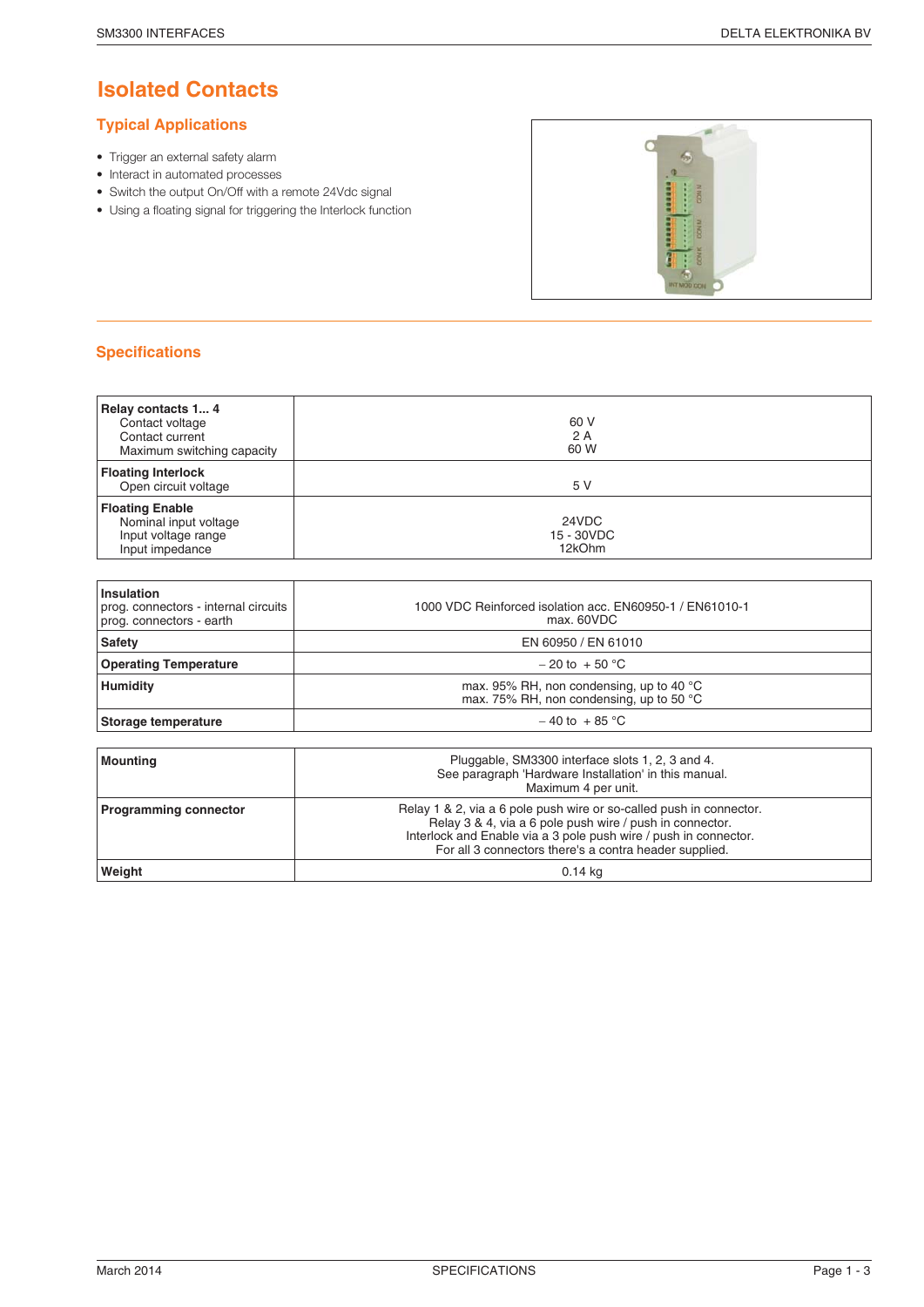### **Isolated Contacts**

#### **Typical Applications**

- Trigger an external safety alarm
- Interact in automated processes
- Switch the output On/Off with a remote 24Vdc signal
- Using a floating signal for triggering the Interlock function



| Relay contacts 1 4<br>Contact voltage<br>Contact current<br>Maximum switching capacity    | 60 V<br>2A<br>60 W            |
|-------------------------------------------------------------------------------------------|-------------------------------|
| <b>Floating Interlock</b><br>Open circuit voltage                                         | 5 V                           |
| <b>Floating Enable</b><br>Nominal input voltage<br>Input voltage range<br>Input impedance | 24VDC<br>15 - 30VDC<br>12kOhm |
|                                                                                           |                               |

| <b>Insulation</b><br>prog. connectors - internal circuits<br>prog. connectors - earth | 1000 VDC Reinforced isolation acc. EN60950-1 / EN61010-1<br>max. 60VDC                         |
|---------------------------------------------------------------------------------------|------------------------------------------------------------------------------------------------|
| Safety                                                                                | EN 60950 / EN 61010                                                                            |
| <b>Operating Temperature</b>                                                          | $-20$ to $+50$ °C                                                                              |
| <b>Humidity</b>                                                                       | max. 95% RH, non condensing, up to 40 $^{\circ}$ C<br>max. 75% RH, non condensing, up to 50 °C |
| Storage temperature                                                                   | $-40$ to $+85$ °C                                                                              |
|                                                                                       |                                                                                                |

| Mounting                     | Pluggable, SM3300 interface slots 1, 2, 3 and 4.<br>See paragraph 'Hardware Installation' in this manual.<br>Maximum 4 per unit.                                                                                                                              |
|------------------------------|---------------------------------------------------------------------------------------------------------------------------------------------------------------------------------------------------------------------------------------------------------------|
| <b>Programming connector</b> | Relay 1 & 2, via a 6 pole push wire or so-called push in connector.<br>Relay 3 & 4, via a 6 pole push wire / push in connector.<br>Interlock and Enable via a 3 pole push wire / push in connector.<br>For all 3 connectors there's a contra header supplied. |
| Weight                       | $0.14$ kg                                                                                                                                                                                                                                                     |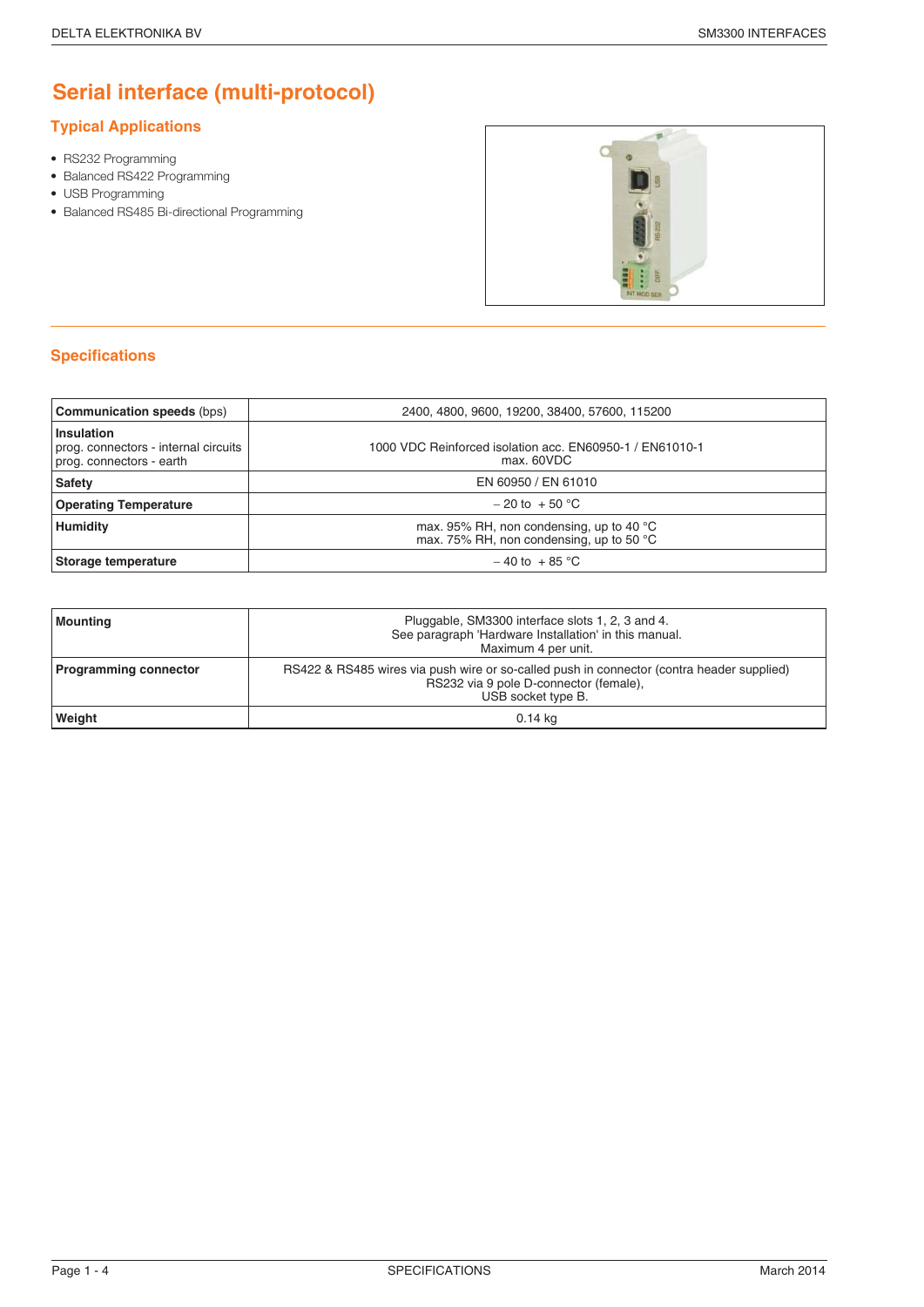## **Serial interface (multi-protocol)**

#### **Typical Applications**

- RS232 Programming
- Balanced RS422 Programming
- USB Programming
- Balanced RS485 Bi-directional Programming



| <b>Communication speeds (bps)</b>                                              | 2400, 4800, 9600, 19200, 38400, 57600, 115200                                                  |
|--------------------------------------------------------------------------------|------------------------------------------------------------------------------------------------|
| Insulation<br>prog. connectors - internal circuits<br>prog. connectors - earth | 1000 VDC Reinforced isolation acc. EN60950-1 / EN61010-1<br>max. 60VDC                         |
| Safety                                                                         | EN 60950 / EN 61010                                                                            |
| <b>Operating Temperature</b>                                                   | $-20$ to $+50$ °C                                                                              |
| <b>Humidity</b>                                                                | max. 95% RH, non condensing, up to 40 $^{\circ}$ C<br>max. 75% RH, non condensing, up to 50 °C |
| Storage temperature                                                            | $-40$ to $+85$ °C                                                                              |

| Mounting                     | Pluggable, SM3300 interface slots 1, 2, 3 and 4.<br>See paragraph 'Hardware Installation' in this manual.<br>Maximum 4 per unit.                          |
|------------------------------|-----------------------------------------------------------------------------------------------------------------------------------------------------------|
| <b>Programming connector</b> | RS422 & RS485 wires via push wire or so-called push in connector (contra header supplied)<br>RS232 via 9 pole D-connector (female),<br>USB socket type B. |
| <b>Weight</b>                | 0.14 kg                                                                                                                                                   |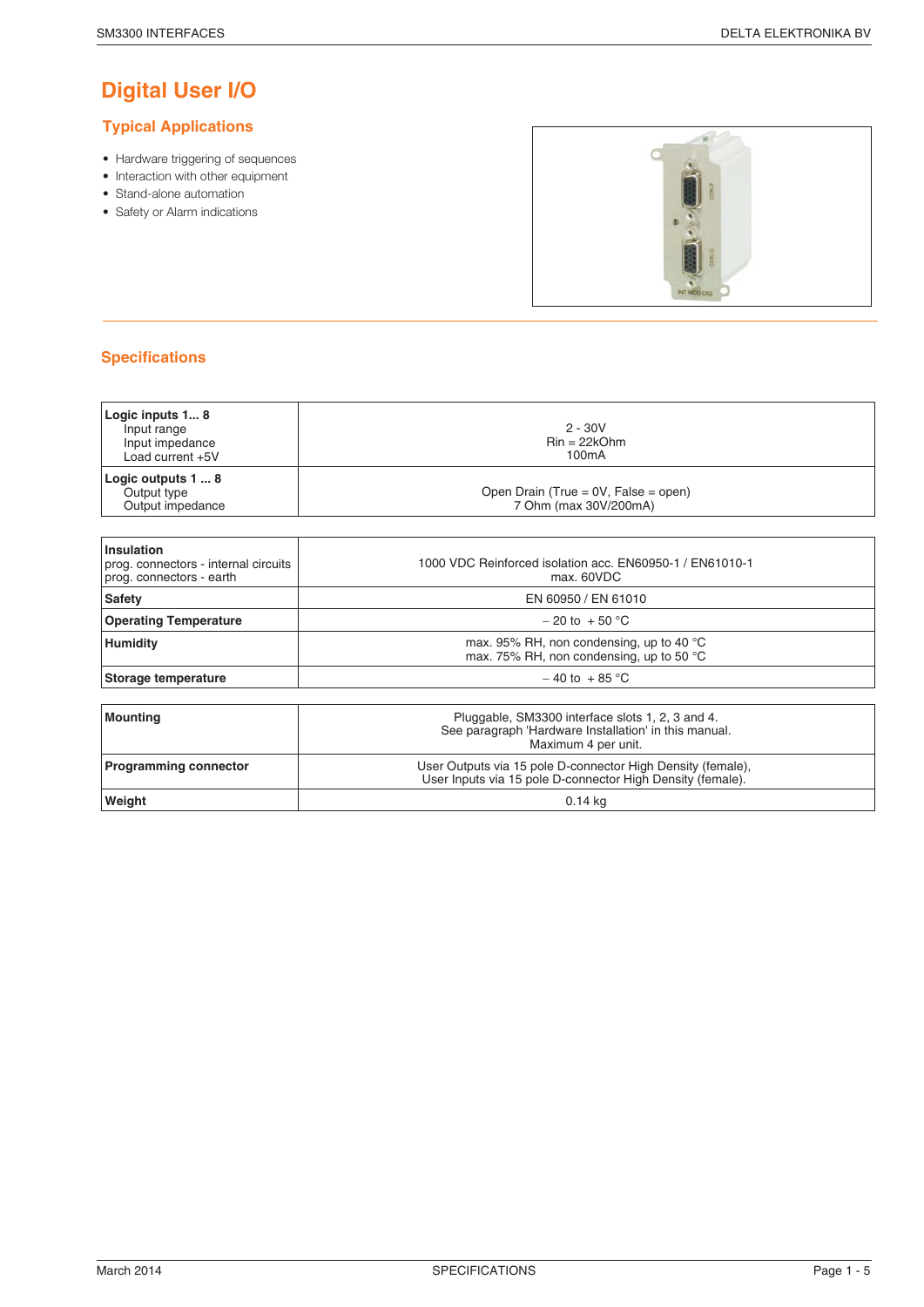## **Digital User I/O**

#### **Typical Applications**

- Hardware triggering of sequences
- Interaction with other equipment
- Stand-alone automation
- Safety or Alarm indications



| Logic inputs 1 8<br>Input range<br>Input impedance<br>Load current +5V | $2 - 30V$<br>$\text{Rin} = 22\text{kOhm}$<br>100 <sub>m</sub> A |
|------------------------------------------------------------------------|-----------------------------------------------------------------|
| Logic outputs 1  8<br>Output type<br>Output impedance                  | Open Drain (True = 0V, False = open)<br>7 Ohm (max 30V/200mA)   |
| المتماشط المتماسا                                                      |                                                                 |

| <b>Insulation</b><br>prog. connectors - internal circuits<br>prog. connectors - earth | 1000 VDC Reinforced isolation acc. EN60950-1 / EN61010-1<br>max. 60VDC                         |
|---------------------------------------------------------------------------------------|------------------------------------------------------------------------------------------------|
| <b>Safety</b>                                                                         | EN 60950 / EN 61010                                                                            |
| <b>Operating Temperature</b>                                                          | $-20$ to $+50$ °C                                                                              |
| <b>Humidity</b>                                                                       | max. 95% RH, non condensing, up to 40 $^{\circ}$ C<br>max. 75% RH, non condensing, up to 50 °C |
| Storage temperature                                                                   | $-40$ to $+85$ °C                                                                              |
|                                                                                       |                                                                                                |

| Mounting                     | Pluggable, SM3300 interface slots 1, 2, 3 and 4.<br>See paragraph 'Hardware Installation' in this manual.<br>Maximum 4 per unit. |
|------------------------------|----------------------------------------------------------------------------------------------------------------------------------|
| <b>Programming connector</b> | User Outputs via 15 pole D-connector High Density (female),<br>User Inputs via 15 pole D-connector High Density (female).        |
| Weight                       | 0.14 kg                                                                                                                          |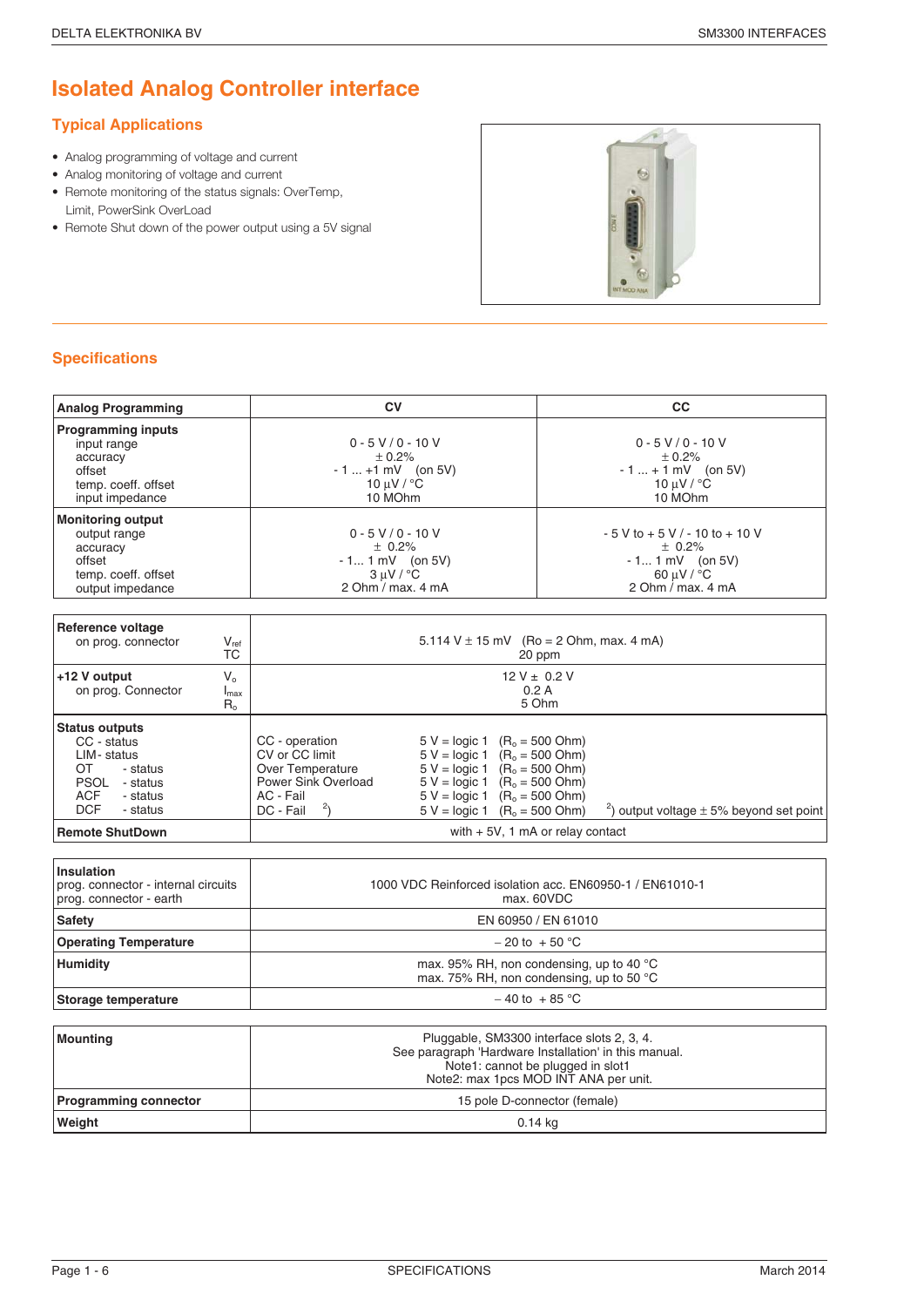## **Isolated Analog Controller interface**

### **Typical Applications**

- Analog programming of voltage and current
- Analog monitoring of voltage and current
- Remote monitoring of the status signals: OverTemp, Limit, PowerSink OverLoad
- Remote Shut down of the power output using a 5V signal



| <b>Analog Programming</b>                                                                                                                  | <b>CV</b>                                                                                                                                                                                                                                                                                                                                                                                          | CC                                                                                                                 |  |  |
|--------------------------------------------------------------------------------------------------------------------------------------------|----------------------------------------------------------------------------------------------------------------------------------------------------------------------------------------------------------------------------------------------------------------------------------------------------------------------------------------------------------------------------------------------------|--------------------------------------------------------------------------------------------------------------------|--|--|
| <b>Programming inputs</b><br>input range<br>accuracy<br>offset<br>temp. coeff. offset<br>input impedance                                   | $0 - 5 V / 0 - 10 V$<br>± 0.2%<br>$-1  +1$ mV (on 5V)<br>10 $\mu$ V / $\degree$ C<br>10 MOhm                                                                                                                                                                                                                                                                                                       | $0 - 5 V / 0 - 10 V$<br>± 0.2%<br>$-1  + 1$ mV (on 5V)<br>10 $\mu$ V / $\degree$ C<br>10 MOhm                      |  |  |
| <b>Monitoring output</b><br>output range<br>accuracy<br>offset<br>temp. coeff. offset<br>output impedance                                  | $0 - 5 V / 0 - 10 V$<br>± 0.2%<br>$-11$ mV (on 5V)<br>$3 \mu V / {}^{\circ}C$<br>2 Ohm / max. 4 mA                                                                                                                                                                                                                                                                                                 | $-5$ V to $+5$ V / - 10 to $+$ 10 V<br>± 0.2%<br>$-11$ mV (on 5V)<br>60 $\mu$ V / $\degree$ C<br>2 Ohm / max. 4 mA |  |  |
| <b>Reference voltage</b>                                                                                                                   |                                                                                                                                                                                                                                                                                                                                                                                                    |                                                                                                                    |  |  |
| on prog. connector<br>$V_{ref}$<br><b>TC</b>                                                                                               |                                                                                                                                                                                                                                                                                                                                                                                                    | 5.114 V $\pm$ 15 mV (Ro = 2 Ohm, max. 4 mA)<br>20 ppm                                                              |  |  |
| +12 V output<br>$V_{0}$<br>on prog. Connector<br>$I_{\text{max}}$<br>$R_{0}$                                                               | $12 V \pm 0.2 V$<br>0.2A<br>5 Ohm                                                                                                                                                                                                                                                                                                                                                                  |                                                                                                                    |  |  |
| <b>Status outputs</b><br>CC - status<br>LIM-status<br>OT.<br>- status<br>PSOL - status<br><b>ACF</b><br>- status<br><b>DCF</b><br>- status | CC - operation<br>$5 V =$ logic 1 (R <sub>o</sub> = 500 Ohm)<br>CV or CC limit<br>$5 V =$ logic 1 $(R_0 = 500 \text{ Ohm})$<br>$5 V = logic 1$ $(R_0 = 500 Ohm)$<br>Over Temperature<br>Power Sink Overload<br>$5 V =$ logic 1 (R <sub>o</sub> = 500 Ohm)<br>$5 V =$ logic 1 (R <sub>o</sub> = 500 Ohm)<br>AC - Fail<br>$2\overline{)}$<br>$5 V =$ logic 1 (R <sub>o</sub> = 500 Ohm)<br>DC - Fail | $\frac{2}{3}$ ) output voltage $\pm$ 5% beyond set point                                                           |  |  |
| <b>Remote ShutDown</b>                                                                                                                     |                                                                                                                                                                                                                                                                                                                                                                                                    | with $+5V$ , 1 mA or relay contact                                                                                 |  |  |
|                                                                                                                                            |                                                                                                                                                                                                                                                                                                                                                                                                    |                                                                                                                    |  |  |
| Insulation<br>prog. connector - internal circuits<br>prog. connector - earth                                                               | 1000 VDC Reinforced isolation acc. EN60950-1 / EN61010-1<br>max. 60VDC                                                                                                                                                                                                                                                                                                                             |                                                                                                                    |  |  |
| <b>Safety</b>                                                                                                                              | EN 60950 / EN 61010                                                                                                                                                                                                                                                                                                                                                                                |                                                                                                                    |  |  |
| <b>Operating Temperature</b>                                                                                                               | $-20$ to $+50$ °C                                                                                                                                                                                                                                                                                                                                                                                  |                                                                                                                    |  |  |
| <b>Humidity</b>                                                                                                                            | max. 95% RH, non condensing, up to 40 °C<br>max. 75% RH, non condensing, up to 50 °C                                                                                                                                                                                                                                                                                                               |                                                                                                                    |  |  |
| <b>Storage temperature</b>                                                                                                                 |                                                                                                                                                                                                                                                                                                                                                                                                    | $-40$ to $+85$ °C                                                                                                  |  |  |
|                                                                                                                                            |                                                                                                                                                                                                                                                                                                                                                                                                    |                                                                                                                    |  |  |

| Mounting                     | Pluggable, SM3300 interface slots 2, 3, 4.            |  |
|------------------------------|-------------------------------------------------------|--|
|                              | See paragraph 'Hardware Installation' in this manual. |  |
|                              | Note1: cannot be plugged in slot1                     |  |
|                              | Note2: max 1pcs MOD INT ANA per unit.                 |  |
| <b>Programming connector</b> | 15 pole D-connector (female)                          |  |
| Weight                       | 0.14 ka                                               |  |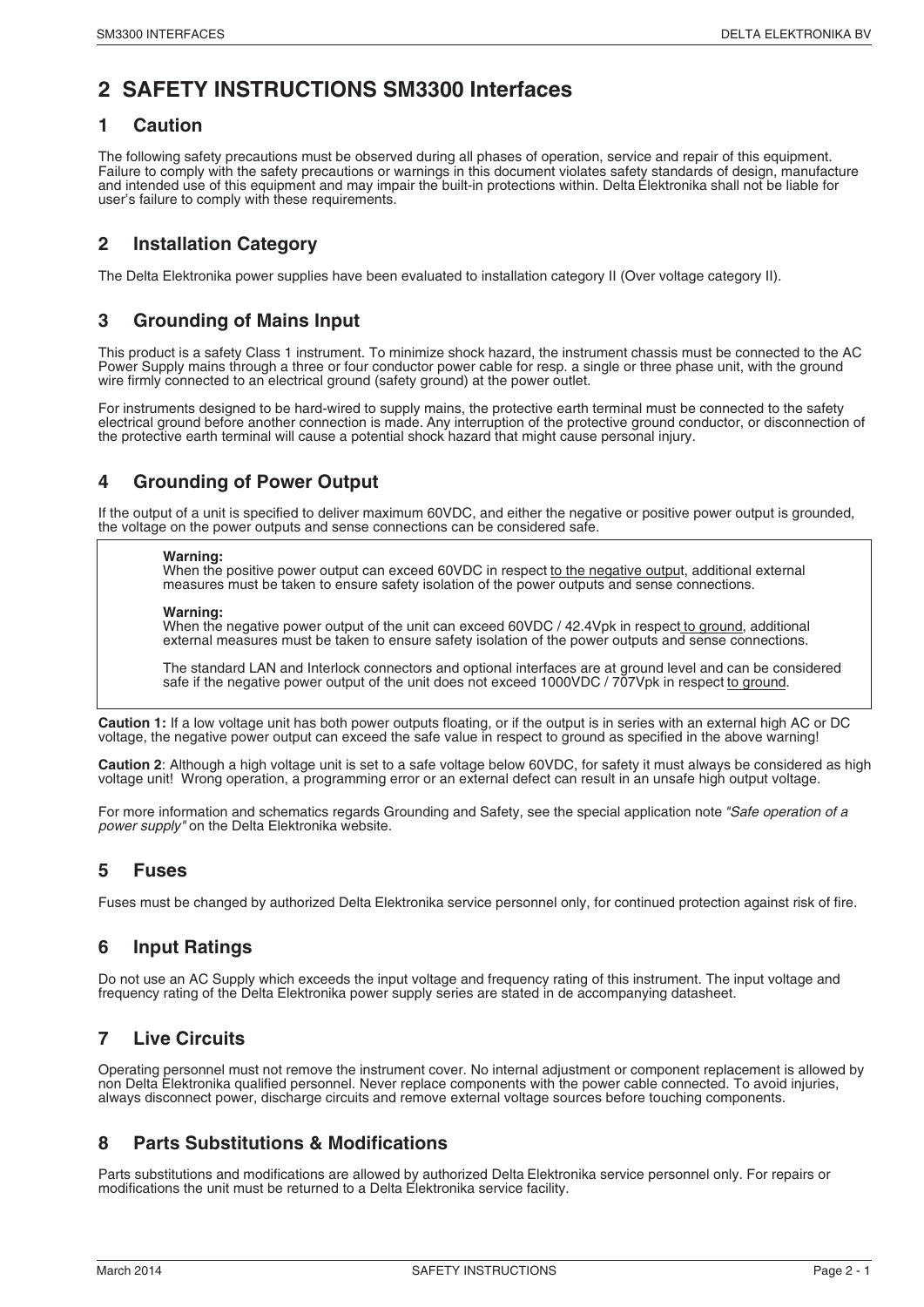### **2 SAFETY INSTRUCTIONS SM3300 Interfaces**

#### **1 Caution**

The following safety precautions must be observed during all phases of operation, service and repair of this equipment. Failure to comply with the safety precautions or warnings in this document violates safety standards of design, manufacture and intended use of this equipment and may impair the built-in protections within. Delta Elektronika shall not be liable for user's failure to comply with these requirements.

#### **2 Installation Category**

The Delta Elektronika power supplies have been evaluated to installation category II (Over voltage category II).

#### **3 Grounding of Mains Input**

This product is a safety Class 1 instrument. To minimize shock hazard, the instrument chassis must be connected to the AC Power Supply mains through a three or four conductor power cable for resp. a single or three phase unit, with the ground wire firmly connected to an electrical ground (safety ground) at the power outlet.

For instruments designed to be hard-wired to supply mains, the protective earth terminal must be connected to the safety electrical ground before another connection is made. Any interruption of the protective ground conductor, or disconnection of the protective earth terminal will cause a potential shock hazard that might cause personal injury.

#### **4 Grounding of Power Output**

If the output of a unit is specified to deliver maximum 60VDC, and either the negative or positive power output is grounded, the voltage on the power outputs and sense connections can be considered safe.

#### **Warning:**

When the positive power output can exceed 60VDC in respect to the negative output, additional external measures must be taken to ensure safety isolation of the power outputs and sense connections.

#### **Warning:**

When the negative power output of the unit can exceed 60VDC / 42.4Vpk in respect to ground, additional external measures must be taken to ensure safety isolation of the power outputs and sense connections.

The standard LAN and Interlock connectors and optional interfaces are at ground level and can be considered safe if the negative power output of the unit does not exceed 1000VDC / 707Vpk in respect to ground.

**Caution 1:** If a low voltage unit has both power outputs floating, or if the output is in series with an external high AC or DC voltage, the negative power output can exceed the safe value in respect to ground as specified in the above warning!

**Caution 2**: Although a high voltage unit is set to a safe voltage below 60VDC, for safety it must always be considered as high voltage unit! Wrong operation, a programming error or an external defect can result in an unsafe high output voltage.

For more information and schematics regards Grounding and Safety, see the special application note "Safe operation of a power supply" on the Delta Elektronika website.

#### **5 Fuses**

Fuses must be changed by authorized Delta Elektronika service personnel only, for continued protection against risk of fire.

#### **6 Input Ratings**

Do not use an AC Supply which exceeds the input voltage and frequency rating of this instrument. The input voltage and frequency rating of the Delta Elektronika power supply series are stated in de accompanying datasheet.

#### **7 Live Circuits**

Operating personnel must not remove the instrument cover. No internal adjustment or component replacement is allowed by non Delta Elektronika qualified personnel. Never replace components with the power cable connected. To avoid injuries, always disconnect power, discharge circuits and remove external voltage sources before touching components.

#### **8 Parts Substitutions & Modifications**

Parts substitutions and modifications are allowed by authorized Delta Elektronika service personnel only. For repairs or modifications the unit must be returned to a Delta Elektronika service facility.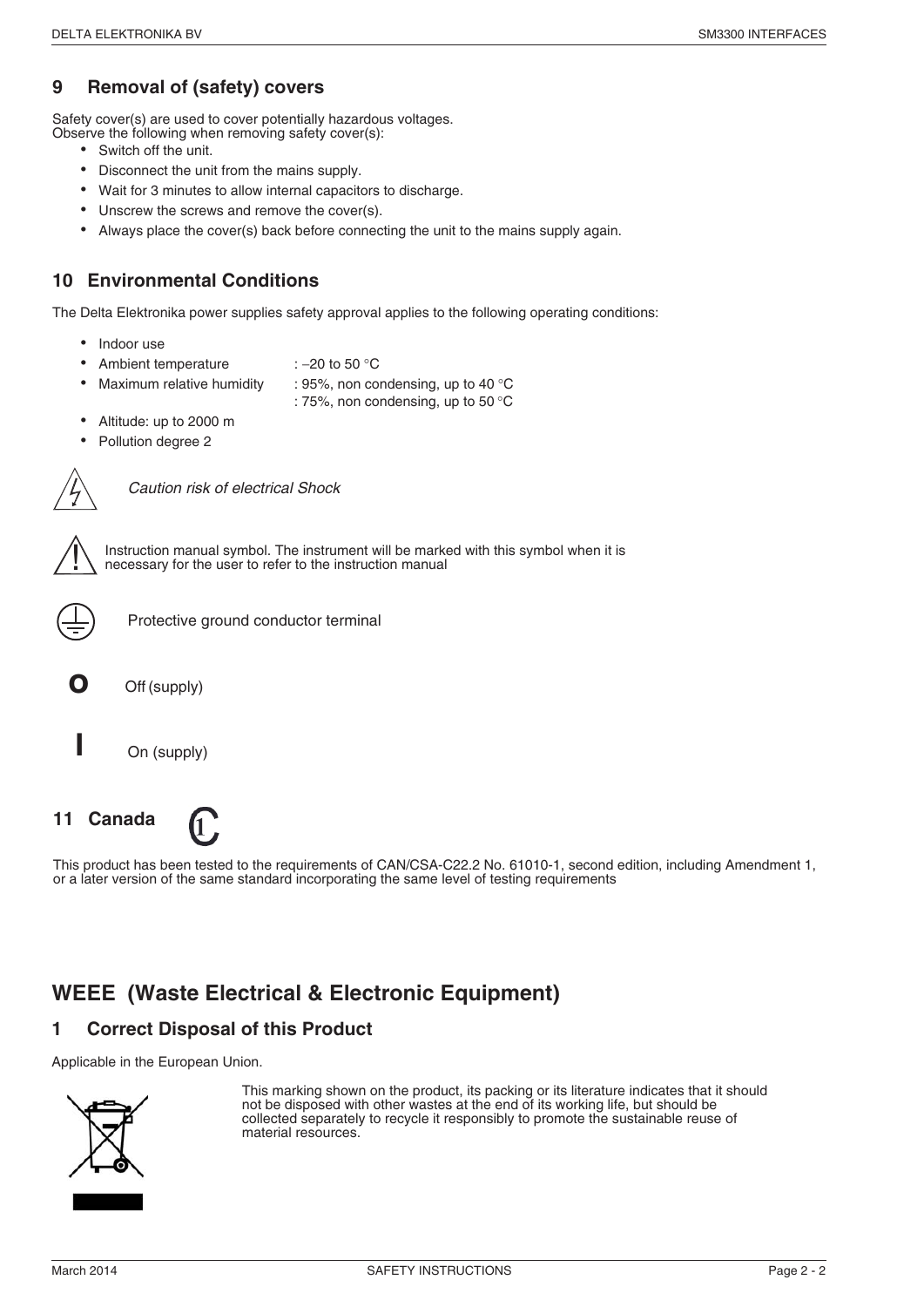#### **9 Removal of (safety) covers**

Safety cover(s) are used to cover potentially hazardous voltages. Observe the following when removing safety cover(s): •

- Switch off the unit.
- Disconnect the unit from the mains supply. •
- Wait for 3 minutes to allow internal capacitors to discharge. •
- Unscrew the screws and remove the cover(s). •
- Always place the cover(s) back before connecting the unit to the mains supply again.

#### **10 Environmental Conditions**

The Delta Elektronika power supplies safety approval applies to the following operating conditions: •

- Indoor use •
- Ambient temperature : −20 to 50 °C •
- Maximum relative humidity  $\therefore$  95%, non condensing, up to 40 °C
- : 75%, non condensing, up to 50 °C
- Altitude: up to 2000 m •
- Pollution degree 2



Caution risk of electrical Shock



Instruction manual symbol. The instrument will be marked with this symbol when it is necessary for the user to refer to the instruction manual



Protective ground conductor terminal

**o** Off (supply)

**I** On (supply)

**11 Canada**



This product has been tested to the requirements of CAN/CSA-C22.2 No. 61010-1, second edition, including Amendment 1, or a later version of the same standard incorporating the same level of testing requirements

### **WEEE (Waste Electrical & Electronic Equipment)**

### **1 Correct Disposal of this Product**

Applicable in the European Union.



This marking shown on the product, its packing or its literature indicates that it should not be disposed with other wastes at the end of its working life, but should be collected separately to recycle it responsibly to promote the sustainable reuse of material resources.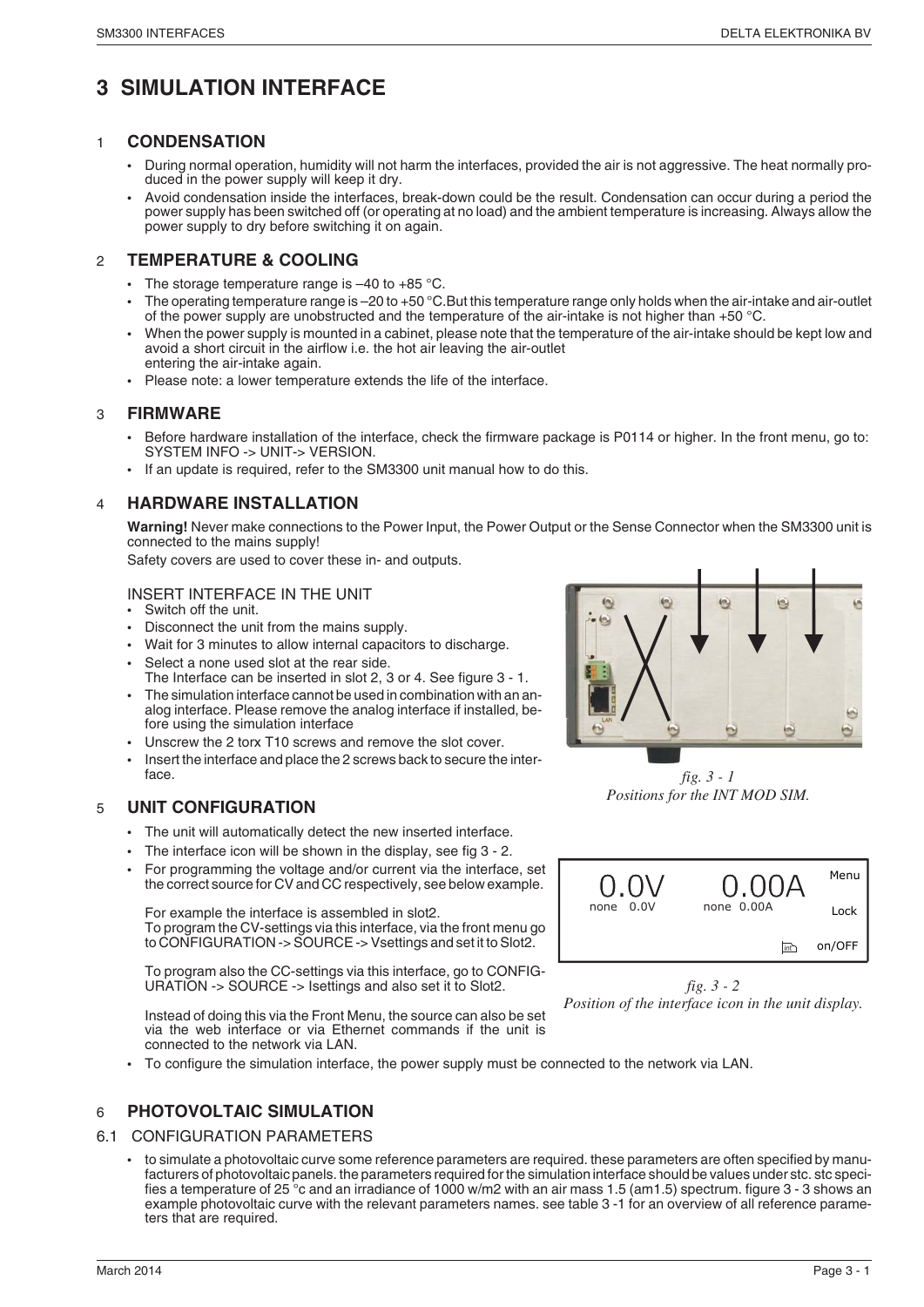### **3 SIMULATION INTERFACE**

#### 1 **CONDENSATION**

- During normal operation, humidity will not harm the interfaces, provided the air is not aggressive. The heat normally produced in the power supply will keep it dry.
- Avoid condensation inside the interfaces, break-down could be the result. Condensation can occur during a period the power supply has been switched off (or operating at no load) and the ambient temperature is increasing. Always allow the power supply to dry before switching it on again.

#### 2 **TEMPERATURE & COOLING**

- The storage temperature range is  $-40$  to  $+85$  °C.
- The operating temperature range is –20 to +50 °C.But this temperature range only holds when the air-intake and air-outlet of the power supply are unobstructed and the temperature of the air-intake is not higher than +50 °C.
- When the power supply is mounted in a cabinet, please note that the temperature of the air-intake should be kept low and avoid a short circuit in the airflow i.e. the hot air leaving the air-outlet entering the air-intake again.
- Please note: a lower temperature extends the life of the interface.

#### 3 **FIRMWARE**

- Before hardware installation of the interface, check the firmware package is P0114 or higher. In the front menu, go to: SYSTEM INFO -> UNIT-> VERSION.
- If an update is required, refer to the SM3300 unit manual how to do this.

#### 4 **HARDWARE INSTALLATION**

Warning! Never make connections to the Power Input, the Power Output or the Sense Connector when the SM3300 unit is connected to the mains supply!

Safety covers are used to cover these in- and outputs.

#### INSERT INTERFACE IN THE UNIT

- Switch off the unit.
- Disconnect the unit from the mains supply.
- Wait for 3 minutes to allow internal capacitors to discharge.
- Select a none used slot at the rear side.
- The Interface can be inserted in slot 2, 3 or 4. See figure 3 1. The simulation interface cannot be used in combination with an analog interface. Please remove the analog interface if installed, be-
- fore using the simulation interface
- Unscrew the 2 torx T10 screws and remove the slot cover.
- Insert the interface and place the 2 screws back to secure the interface.

#### 5 **UNIT CONFIGURATION**

- The unit will automatically detect the new inserted interface.
- The interface icon will be shown in the display, see fig 3 2.
- For programming the voltage and/or current via the interface, set the correct source for CV and CC respectively, see below example.

For example the interface is assembled in slot2. To program the CV-settings via this interface, via the front menu go to CONFIGURATION -> SOURCE -> Vsettings and set it to Slot2.

To program also the CC-settings via this interface, go to CONFIG-URATION -> SOURCE -> Isettings and also set it to Slot2.

Instead of doing this via the Front Menu, the source can also be set via the web interface or via Ethernet commands if the unit is connected to the network via LAN.

• To configure the simulation interface, the power supply must be connected to the network via LAN.

#### 6 **PHOTOVOLTAIC SIMULATION**

#### 6.1 CONFIGURATION PARAMETERS

• to simulate a photovoltaic curve some reference parameters are required. these parameters are often specified by manufacturers of photovoltaic panels. the parameters required for the simulation interface should be values under stc. stc specifies a temperature of 25 °c and an irradiance of 1000 w/m2 with an air mass 1.5 (am1.5) spectrum. figure 3 - 3 shows an example photovoltaic curve with the relevant parameters names. see table 3 -1 for an overview of all reference parameters that are required.



*fig. 3 - 1 Positions for the INT MOD SIM.*



*fig. 3 - 2 Position of the interface icon in the unit display.*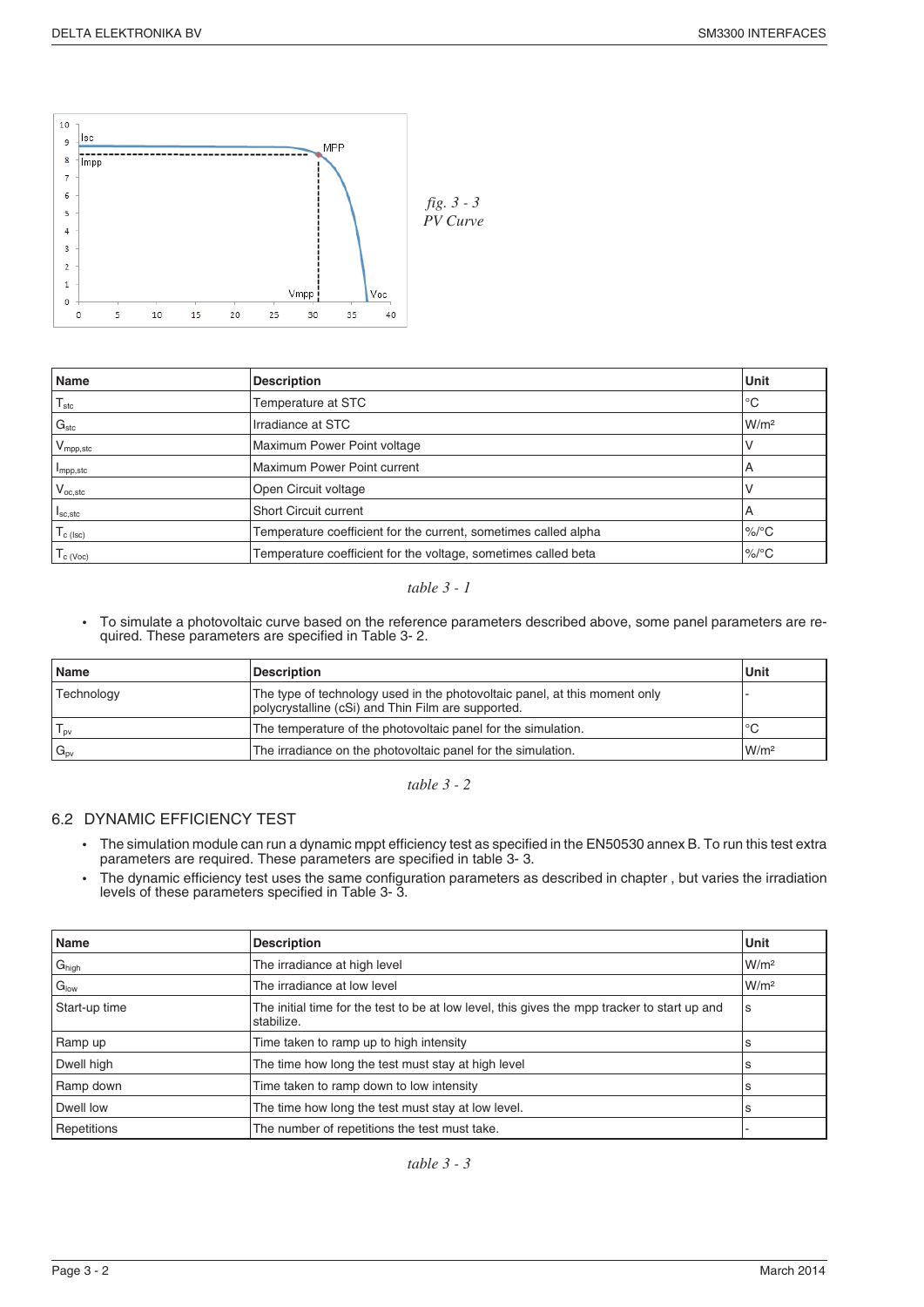

| Name                            | <b>Description</b>                                              | Unit             |
|---------------------------------|-----------------------------------------------------------------|------------------|
| $\mathsf{T}_{\mathsf{stc}}$     | Temperature at STC                                              | °C               |
| G <sub>stc</sub>                | Irradiance at STC                                               | W/m <sup>2</sup> |
| $V_{\mathsf{mpp,stc}}$          | Maximum Power Point voltage                                     |                  |
| I <sub>mpp,stc</sub>            | Maximum Power Point current                                     | A                |
| $V_{oc,stc}$                    | Open Circuit voltage                                            |                  |
| $I_{\text{SC,}stc}$             | <b>Short Circuit current</b>                                    | А                |
| $l_{c}$ (lsc)                   | Temperature coefficient for the current, sometimes called alpha | $\%$ /°C         |
| $\mathsf{I}_{\mathsf{C}}$ (Voc) | Temperature coefficient for the voltage, sometimes called beta  | $\%$ /°C         |

#### *table 3 - 1*

• To simulate a photovoltaic curve based on the reference parameters described above, some panel parameters are required. These parameters are specified in Table 3- 2.

| <b>Name</b>                | <b>Description</b>                                                                                                               | Unit             |
|----------------------------|----------------------------------------------------------------------------------------------------------------------------------|------------------|
| Technology                 | The type of technology used in the photovoltaic panel, at this moment only<br>polycrystalline (cSi) and Thin Film are supported. |                  |
| $T_{\text{ov}}$            | The temperature of the photovoltaic panel for the simulation.                                                                    | ℃                |
| $\mathsf{G}_{\mathsf{pv}}$ | The irradiance on the photovoltaic panel for the simulation.                                                                     | W/m <sup>2</sup> |

*table 3 - 2*

#### 6.2 DYNAMIC EFFICIENCY TEST

- The simulation module can run a dynamic mppt efficiency test as specified in the EN50530 annex B. To run this test extra parameters are required. These parameters are specified in table 3- 3.
- The dynamic efficiency test uses the same configuration parameters as described in chapter , but varies the irradiation levels of these parameters specified in Table 3- 3.

| Name              | <b>Description</b>                                                                                              | Unit             |
|-------------------|-----------------------------------------------------------------------------------------------------------------|------------------|
| $G_{\text{high}}$ | The irradiance at high level                                                                                    | W/m <sup>2</sup> |
| $G_{\text{low}}$  | The irradiance at low level                                                                                     | W/m <sup>2</sup> |
| Start-up time     | The initial time for the test to be at low level, this gives the mpp tracker to start up and<br>s<br>stabilize. |                  |
| Ramp up           | Time taken to ramp up to high intensity<br>s                                                                    |                  |
| Dwell high        | The time how long the test must stay at high level                                                              | s                |
| Ramp down         | Time taken to ramp down to low intensity                                                                        |                  |
| Dwell low         | The time how long the test must stay at low level.                                                              |                  |
| Repetitions       | The number of repetitions the test must take.                                                                   |                  |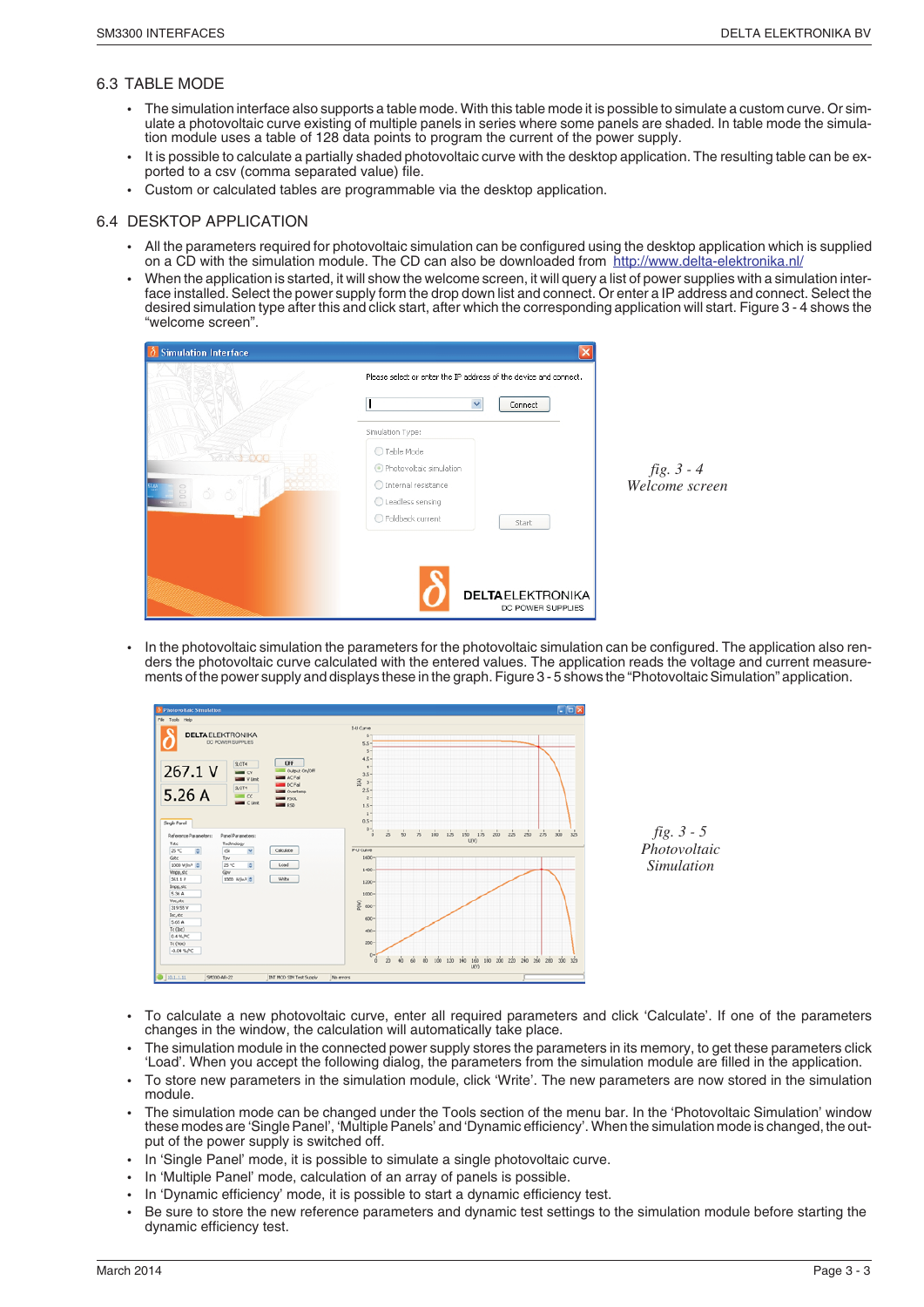#### 6.3 TABLE MODE

- The simulation interface also supports a table mode. With this table mode it is possible to simulate a custom curve. Or simulate a photovoltaic curve existing of multiple panels in series where some panels are shaded. In table mode the simulation module uses a table of 128 data points to program the current of the power supply.
- It is possible to calculate a partially shaded photovoltaic curve with the desktop application. The resulting table can be exported to a csv (comma separated value) file.
- Custom or calculated tables are programmable via the desktop application.

#### 6.4 DESKTOP APPLICATION

- All the parameters required for photovoltaic simulation can be configured using the desktop application which is supplied on a CD with the simulation module. The CD can also be downloaded from http://www.delta-elektronika.nl/
- When the application is started, it will show the welcome screen, it will query a list of power supplies with a simulation interface installed. Select the power supply form the drop down list and connect. Or enter a IP address and connect. Select the desired simulation type after this and click start, after which the corresponding application will start. Figure 3 - 4 shows the "welcome screen".

| <b>Simulation Interface</b><br>δ | Please select or enter the IP address of the device and connect.<br>Ÿ<br>Connect |   |
|----------------------------------|----------------------------------------------------------------------------------|---|
|                                  | Simulation Type:                                                                 |   |
|                                  | ◯ Table Mode                                                                     |   |
| 000<br>61                        | Photovoltaic simulation<br>◯ Internal resistance                                 | V |
|                                  | O Leadless sensing<br>○ Foldback current<br>Start                                |   |
|                                  |                                                                                  |   |
|                                  |                                                                                  |   |
|                                  | <b>DELTAELEKTRONIKA</b><br>DC POWER SUPPLIES                                     |   |

*fig. 3 - 4 Welcome screen*

• In the photovoltaic simulation the parameters for the photovoltaic simulation can be configured. The application also renders the photovoltaic curve calculated with the entered values. The application reads the voltage and current measurements of the power supply and displays these in the graph. Figure 3 - 5 shows the "Photovoltaic Simulation" application.



*fig. 3 - 5 Photovoltaic Simulation*

- To calculate a new photovoltaic curve, enter all required parameters and click 'Calculate'. If one of the parameters changes in the window, the calculation will automatically take place.
- The simulation module in the connected power supply stores the parameters in its memory, to get these parameters click 'Load'. When you accept the following dialog, the parameters from the simulation module are filled in the application.
- To store new parameters in the simulation module, click 'Write'. The new parameters are now stored in the simulation module.
- The simulation mode can be changed under the Tools section of the menu bar. In the 'Photovoltaic Simulation' window these modes are 'Single Panel', 'Multiple Panels' and 'Dynamic efficiency'. When the simulation mode is changed, the output of the power supply is switched off.
- In 'Single Panel' mode, it is possible to simulate a single photovoltaic curve.
- In 'Multiple Panel' mode, calculation of an array of panels is possible.
- In 'Dynamic efficiency' mode, it is possible to start a dynamic efficiency test.
- Be sure to store the new reference parameters and dynamic test settings to the simulation module before starting the dynamic efficiency test.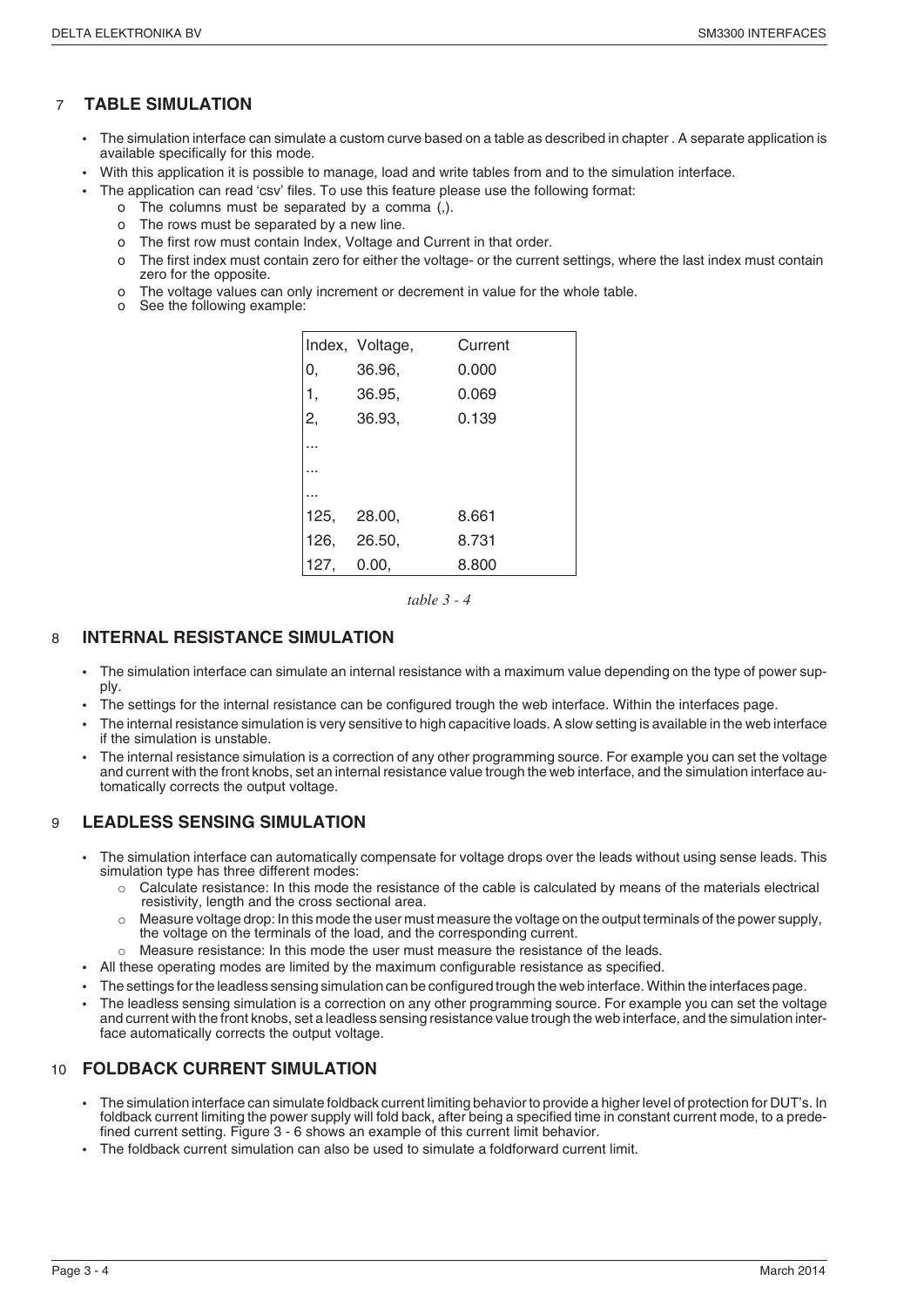### 7 **TABLE SIMULATION**

- The simulation interface can simulate a custom curve based on a table as described in chapter . A separate application is available specifically for this mode.
- With this application it is possible to manage, load and write tables from and to the simulation interface.
	- The application can read 'csv' files. To use this feature please use the following format:
		- o The columns must be separated by a comma (,).
		- o The rows must be separated by a new line.
		- o The first row must contain Index, Voltage and Current in that order.
		- o The first index must contain zero for either the voltage- or the current settings, where the last index must contain zero for the opposite.
		- o The voltage values can only increment or decrement in value for the whole table.
		- o See the following example:

|      | Index, Voltage, | Current |
|------|-----------------|---------|
| 0,   | 36.96,          | 0.000   |
| 1,   | 36.95,          | 0.069   |
| 2,   | 36.93,          | 0.139   |
|      |                 |         |
|      |                 |         |
|      |                 |         |
| 125, | 28.00,          | 8.661   |
|      | 126, 26.50,     | 8.731   |
| 127, | 0.00.           | 8.800   |

*table 3 - 4*

#### 8 **INTERNAL RESISTANCE SIMULATION**

- The simulation interface can simulate an internal resistance with a maximum value depending on the type of power supply.
- The settings for the internal resistance can be configured trough the web interface. Within the interfaces page.
- The internal resistance simulation is very sensitive to high capacitive loads. A slow setting is available in the web interface if the simulation is unstable.
- The internal resistance simulation is a correction of any other programming source. For example you can set the voltage and current with the front knobs, set an internal resistance value trough the web interface, and the simulation interface automatically corrects the output voltage.

#### 9 **LEADLESS SENSING SIMULATION**

- The simulation interface can automatically compensate for voltage drops over the leads without using sense leads. This simulation type has three different modes:
	- o Calculate resistance: In this mode the resistance of the cable is calculated by means of the materials electrical resistivity, length and the cross sectional area.
	- $\circ$  Measure voltage drop: In this mode the user must measure the voltage on the output terminals of the power supply, the voltage on the terminals of the load, and the corresponding current.
	- Measure resistance: In this mode the user must measure the resistance of the leads.
	- All these operating modes are limited by the maximum configurable resistance as specified.
- The settings for the leadless sensing simulation can be configured trough the web interface. Within the interfaces page.
- The leadless sensing simulation is a correction on any other programming source. For example you can set the voltage and current with the front knobs, set a leadless sensing resistance value trough the web interface, and the simulation interface automatically corrects the output voltage.

#### 10 **FOLDBACK CURRENT SIMULATION**

- The simulation interface can simulate foldback current limiting behavior to provide a higher level of protection for DUT's. In foldback current limiting the power supply will fold back, after being a specified time in constant current mode, to a predefined current setting. Figure 3 - 6 shows an example of this current limit behavior.
- The foldback current simulation can also be used to simulate a foldforward current limit.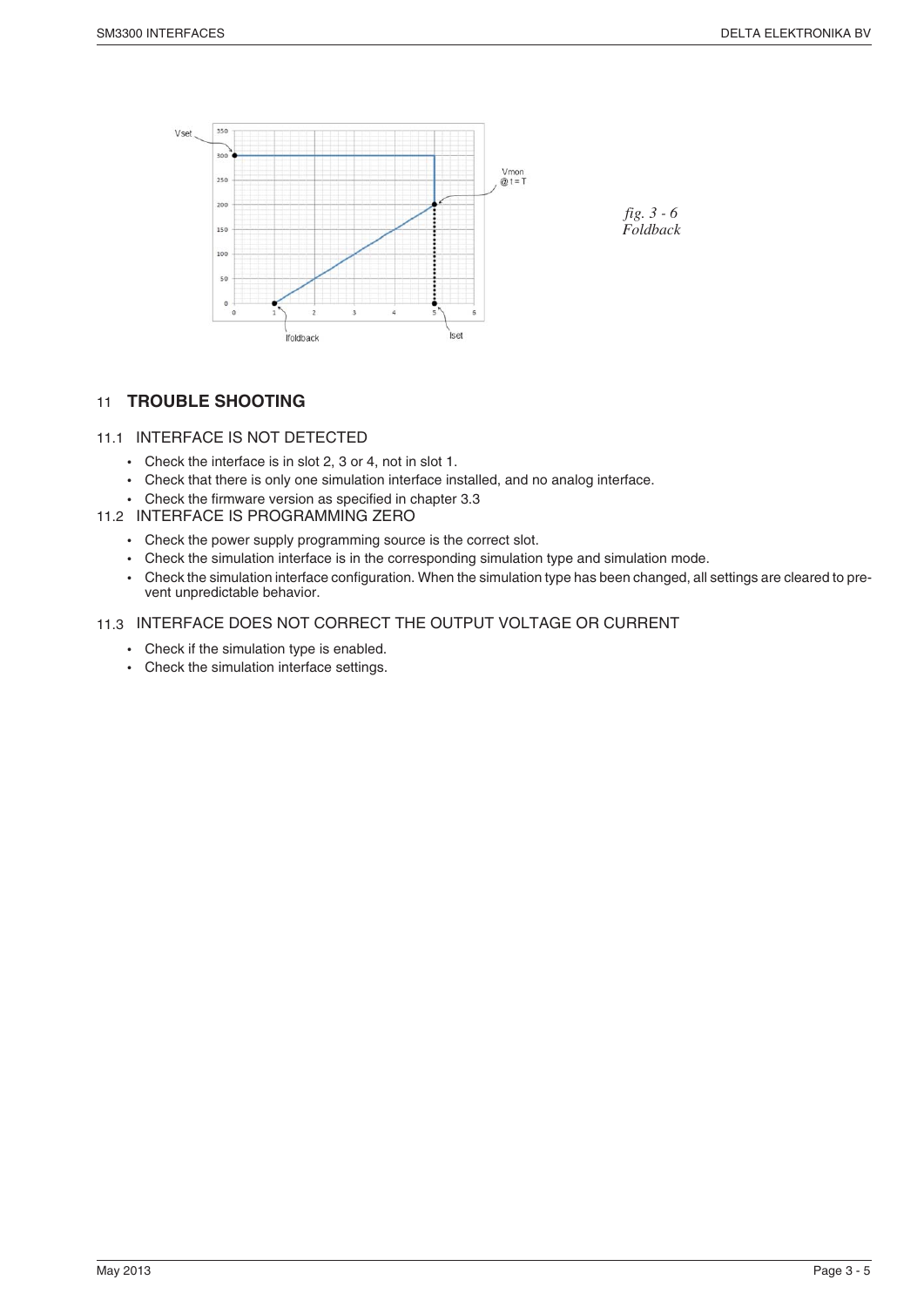

#### 11 **TROUBLE SHOOTING**

#### 11.1 INTERFACE IS NOT DETECTED

- Check the interface is in slot 2, 3 or 4, not in slot 1.
- Check that there is only one simulation interface installed, and no analog interface.
- Check the firmware version as specified in chapter 3.3
- 11.2 INTERFACE IS PROGRAMMING ZERO
	- Check the power supply programming source is the correct slot.
	- Check the simulation interface is in the corresponding simulation type and simulation mode.
	- Check the simulation interface configuration. When the simulation type has been changed, all settings are cleared to prevent unpredictable behavior.

#### 11.3 INTERFACE DOES NOT CORRECT THE OUTPUT VOLTAGE OR CURRENT

- Check if the simulation type is enabled.
- Check the simulation interface settings.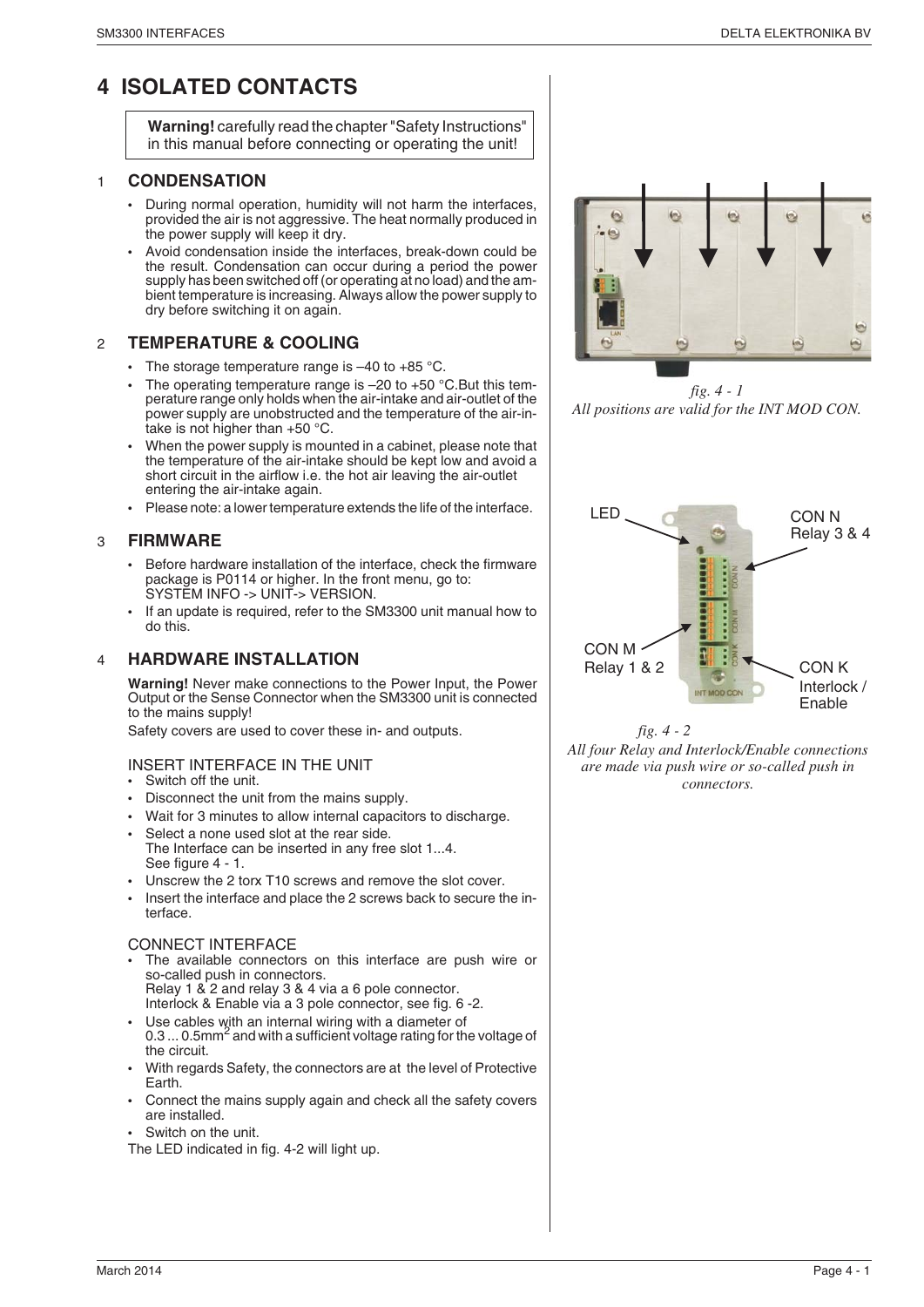### **4 ISOLATED CONTACTS**

**Warning!** carefully read the chapter "Safety Instructions" in this manual before connecting or operating the unit!

#### 1 **CONDENSATION**

- During normal operation, humidity will not harm the interfaces, provided the air is not aggressive. The heat normally produced in the power supply will keep it dry.
- Avoid condensation inside the interfaces, break-down could be the result. Condensation can occur during a period the power supply has been switched off (or operating at no load) and the ambient temperature is increasing. Always allow the power supply to dry before switching it on again.

#### 2 **TEMPERATURE & COOLING**

- The storage temperature range is  $-40$  to  $+85$  °C.
- The operating temperature range is  $-20$  to  $+50$  °C. But this temperature range only holds when the air-intake and air-outlet of the power supply are unobstructed and the temperature of the air-intake is not higher than +50 °C.
- When the power supply is mounted in a cabinet, please note that the temperature of the air-intake should be kept low and avoid a short circuit in the airflow i.e. the hot air leaving the air-outlet entering the air-intake again.
- Please note: a lower temperature extends the life of the interface.

#### 3 **FIRMWARE**

- Before hardware installation of the interface, check the firmware package is P0114 or higher. In the front menu, go to: SYSTEM INFO -> UNIT-> VERSION.
- If an update is required, refer to the SM3300 unit manual how to do this.

#### 4 **HARDWARE INSTALLATION**

**Warning!** Never make connections to the Power Input, the Power Output or the Sense Connector when the SM3300 unit is connected to the mains supply!

Safety covers are used to cover these in- and outputs.

- INSERT INTERFACE IN THE UNIT
- Switch off the unit.
- Disconnect the unit from the mains supply.
- Wait for 3 minutes to allow internal capacitors to discharge.
- Select a none used slot at the rear side.
- The Interface can be inserted in any free slot 1...4. See figure 4 - 1.
- Unscrew the 2 torx T10 screws and remove the slot cover.
- Insert the interface and place the 2 screws back to secure the interface.

#### CONNECT INTERFACE

- The available connectors on this interface are push wire or so-called push in connectors. Relay 1 & 2 and relay 3 & 4 via a 6 pole connector. Interlock & Enable via a 3 pole connector, see fig. 6 -2.
- Use cables with an internal wiring with a diameter of 0.3 ... 0.5mm<sup>2</sup> and with a sufficient voltage rating for the voltage of the circuit.
- With regards Safety, the connectors are at the level of Protective Earth.
- Connect the mains supply again and check all the safety covers are installed.
- Switch on the unit.

The LED indicated in fig. 4-2 will light up.



*fig. 4 - 1 All positions are valid for the INT MOD CON.*





*All four Relay and Interlock/Enable connections are made via push wire or so-called push in connectors.*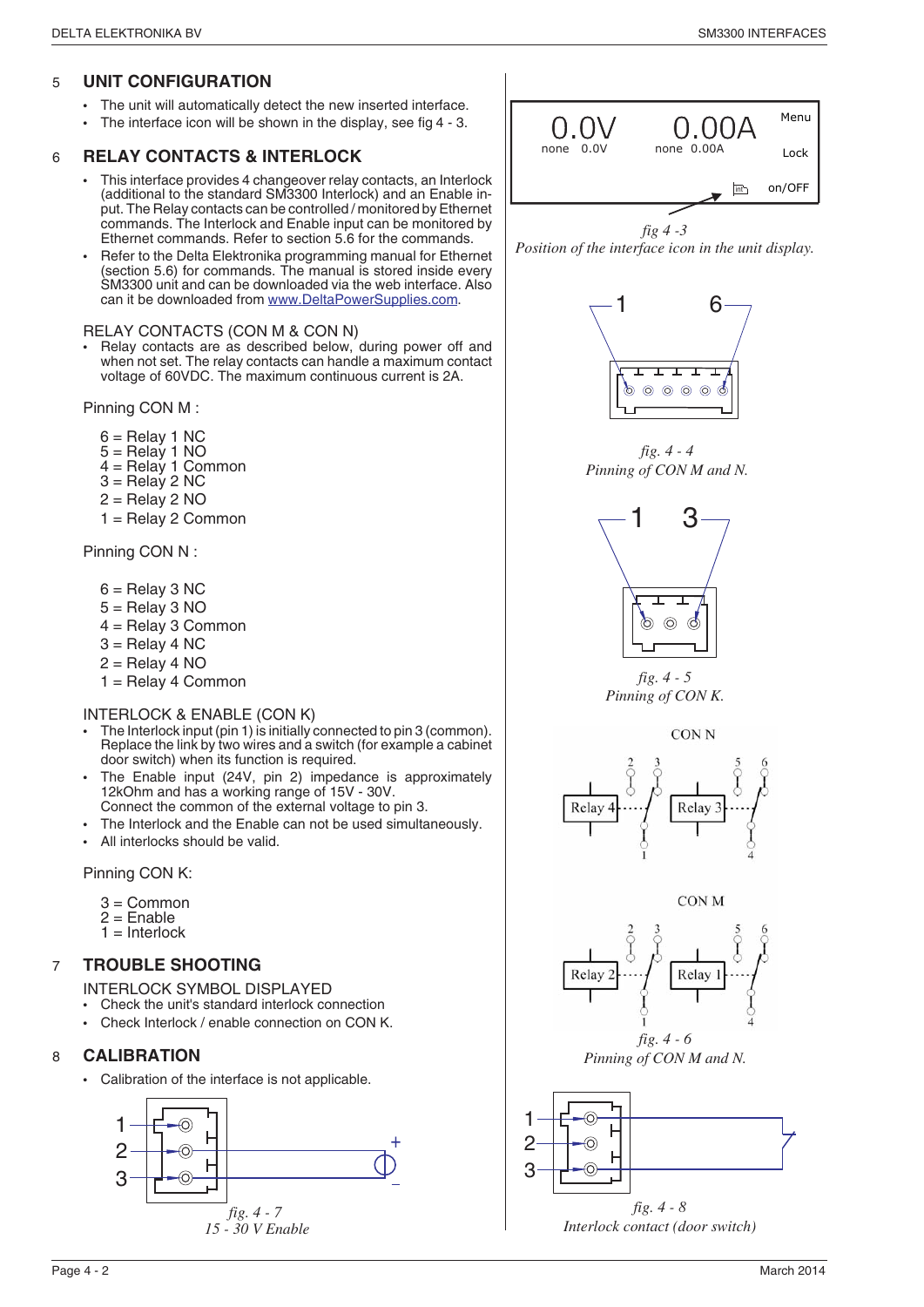#### 5 **UNIT CONFIGURATION**

- The unit will automatically detect the new inserted interface.
- The interface icon will be shown in the display, see fig 4 3.

#### 6 **RELAY CONTACTS & INTERLOCK**

- This interface provides 4 changeover relay contacts, an Interlock (additional to the standard SM3300 Interlock) and an Enable input. The Relay contacts can be controlled / monitored by Ethernet commands. The Interlock and Enable input can be monitored by Ethernet commands. Refer to section 5.6 for the commands.
- Refer to the Delta Elektronika programming manual for Ethernet (section 5.6) for commands. The manual is stored inside every SM3300 unit and can be downloaded via the web interface. Also can it be downloaded from www.DeltaPowerSupplies.com.

#### RELAY CONTACTS (CON M & CON N)

Relay contacts are as described below, during power off and when not set. The relay contacts can handle a maximum contact voltage of 60VDC. The maximum continuous current is 2A.

Pinning CON M :

- 6 = Relay 1 NC
- 5 = Relay 1 NO
- $4 =$  Relay 1 Common
- $3 =$ Relay 2 NC
- $2 =$ Relay 2 NO
- 1 = Relay 2 Common

Pinning CON N :

- $6 =$  Relay 3 NC
- $5 =$  Relay 3 NO
- 4 = Relay 3 Common
- $3$  = Relay 4 NC
- $2 =$ Relay 4 NO
- 1 = Relay 4 Common

#### INTERLOCK & ENABLE (CON K)

- The Interlock input (pin 1) is initially connected to pin 3 (common). Replace the link by two wires and a switch (for example a cabinet door switch) when its function is required.
- The Enable input (24V, pin 2) impedance is approximately 12kOhm and has a working range of 15V - 30V. Connect the common of the external voltage to pin 3.
- The Interlock and the Enable can not be used simultaneously.
- All interlocks should be valid.

Pinning CON K:

- 3 = Common
- $2$  = Enable  $1 =$  Interlock

#### 7 **TROUBLE SHOOTING**

INTERLOCK SYMBOL DISPLAYED

- Check the unit's standard interlock connection
- Check Interlock / enable connection on CON K.

#### 8 **CALIBRATION**

• Calibration of the interface is not applicable.





*fig 4 -3 Position of the interface icon in the unit display.*



*fig. 4 - 4 Pinning of CON M and N.*







**CON M** 



*Pinning of CON M and N.*



*Interlock contact (door switch)*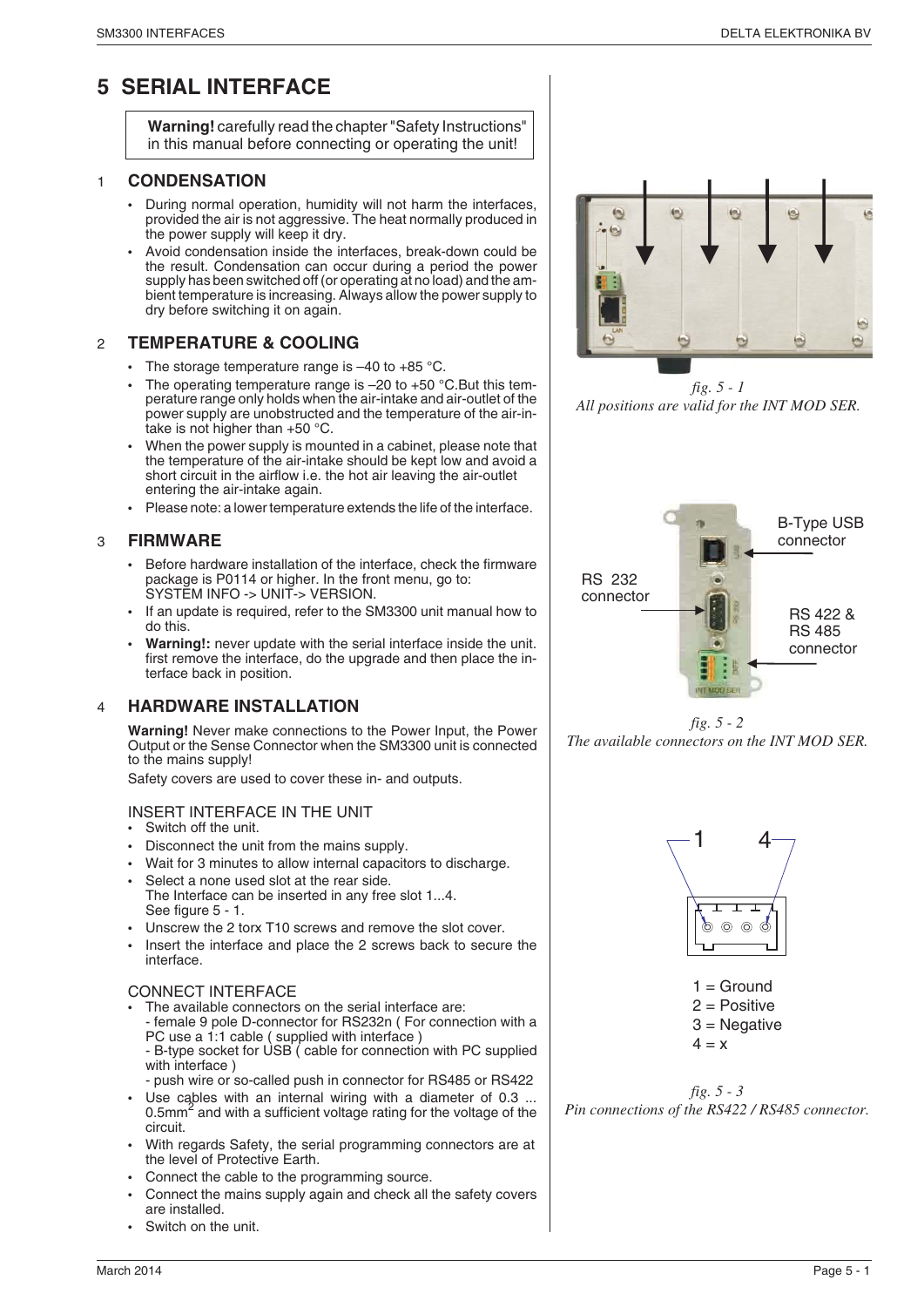### **5 SERIAL INTERFACE**

**Warning!** carefully read the chapter "Safety Instructions" in this manual before connecting or operating the unit!

#### 1 **CONDENSATION**

- During normal operation, humidity will not harm the interfaces, provided the air is not aggressive. The heat normally produced in the power supply will keep it dry.
- Avoid condensation inside the interfaces, break-down could be the result. Condensation can occur during a period the power supply has been switched off (or operating at no load) and the ambient temperature is increasing. Always allow the power supply to dry before switching it on again.

#### 2 **TEMPERATURE & COOLING**

- The storage temperature range is  $-40$  to  $+85$  °C.
- The operating temperature range is  $-20$  to  $+50$  °C. But this temperature range only holds when the air-intake and air-outlet of the power supply are unobstructed and the temperature of the air-intake is not higher than +50 °C.
- When the power supply is mounted in a cabinet, please note that the temperature of the air-intake should be kept low and avoid a short circuit in the airflow i.e. the hot air leaving the air-outlet entering the air-intake again.
- Please note: a lower temperature extends the life of the interface.

#### 3 **FIRMWARE**

- Before hardware installation of the interface, check the firmware package is P0114 or higher. In the front menu, go to: SYSTEM INFO -> UNIT-> VERSION.
- If an update is required, refer to the SM3300 unit manual how to do this.
- **Warning!:** never update with the serial interface inside the unit. first remove the interface, do the upgrade and then place the interface back in position.

#### 4 **HARDWARE INSTALLATION**

**Warning!** Never make connections to the Power Input, the Power Output or the Sense Connector when the SM3300 unit is connected to the mains supply!

Safety covers are used to cover these in- and outputs.

#### INSERT INTERFACE IN THE UNIT

- Switch off the unit.
- Disconnect the unit from the mains supply.
- Wait for 3 minutes to allow internal capacitors to discharge. Select a none used slot at the rear side.
- The Interface can be inserted in any free slot 1...4. See figure 5 - 1.
- Unscrew the 2 torx T10 screws and remove the slot cover.
- Insert the interface and place the 2 screws back to secure the interface.

#### CONNECT INTERFACE

- The available connectors on the serial interface are: - female 9 pole D-connector for RS232n ( For connection with a PC use a 1:1 cable ( supplied with interface )
	- B-type socket for USB ( cable for connection with PC supplied with interface )
- push wire or so-called push in connector for RS485 or RS422
- Use cables with an internal wiring with a diameter of 0.3 ... 0.5mm2 and with a sufficient voltage rating for the voltage of the circuit.
- With regards Safety, the serial programming connectors are at the level of Protective Earth.
- Connect the cable to the programming source.
- Connect the mains supply again and check all the safety covers are installed.
- Switch on the unit.



*fig. 5 - 1 All positions are valid for the INT MOD SER.*



*fig. 5 - 2 The available connectors on the INT MOD SER.*



 $1 =$  Ground 2 = Positive 3 = Negative

 $4 = x$ 

*fig. 5 - 3 Pin connections of the RS422 / RS485 connector.*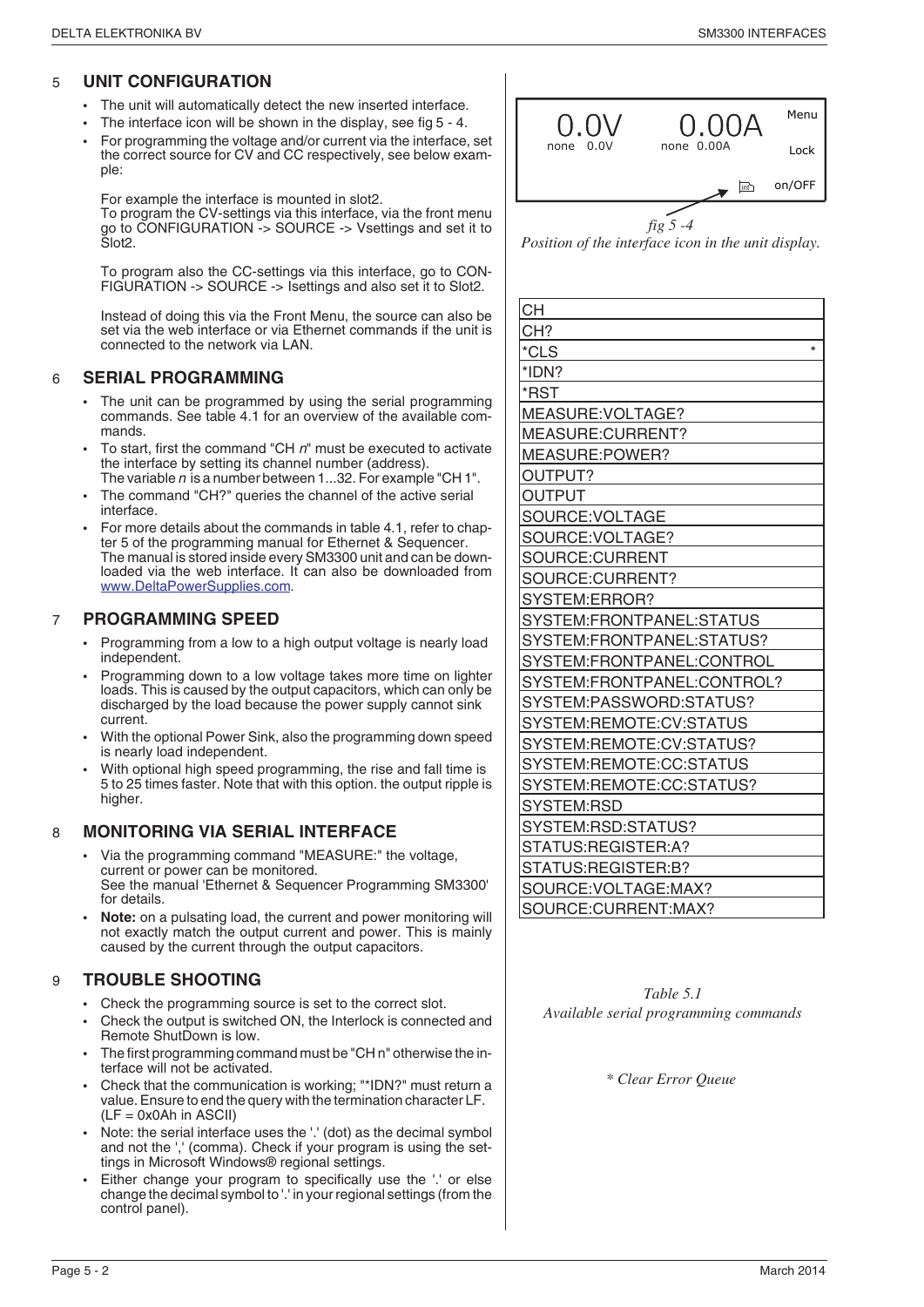#### 5 **UNIT CONFIGURATION**

- The unit will automatically detect the new inserted interface.
- The interface icon will be shown in the display, see fig 5 4.
- For programming the voltage and/or current via the interface, set the correct source for CV and CC respectively, see below example:

For example the interface is mounted in slot2.

To program the CV-settings via this interface, via the front menu go to CONFIGURATION -> SOURCE -> Vsettings and set it to Slot2.

To program also the CC-settings via this interface, go to CON-FIGURATION -> SOURCE -> Isettings and also set it to Slot2.

Instead of doing this via the Front Menu, the source can also be set via the web interface or via Ethernet commands if the unit is connected to the network via LAN.

#### 6 **SERIAL PROGRAMMING**

- The unit can be programmed by using the serial programming commands. See table 4.1 for an overview of the available commands.
- To start, first the command "CH  $n$ " must be executed to activate the interface by setting its channel number (address). The variable  $n$  is a number between 1...32. For example "CH 1".
- The command "CH?" queries the channel of the active serial interface.
- For more details about the commands in table 4.1, refer to chapter 5 of the programming manual for Ethernet & Sequencer. The manual is stored inside every SM3300 unit and can be downloaded via the web interface. It can also be downloaded from www.DeltaPowerSupplies.com.

#### 7 **PROGRAMMING SPEED**

- Programming from a low to a high output voltage is nearly load independent.
- Programming down to a low voltage takes more time on lighter loads. This is caused by the output capacitors, which can only be discharged by the load because the power supply cannot sink current.
- With the optional Power Sink, also the programming down speed is nearly load independent.
- With optional high speed programming, the rise and fall time is 5 to 25 times faster. Note that with this option. the output ripple is higher

#### 8 **MONITORING VIA SERIAL INTERFACE**

- Via the programming command "MEASURE:" the voltage, current or power can be monitored. See the manual 'Ethernet & Sequencer Programming SM3300' for details.
- **Note:** on a pulsating load, the current and power monitoring will not exactly match the output current and power. This is mainly caused by the current through the output capacitors.

#### 9 **TROUBLE SHOOTING**

- Check the programming source is set to the correct slot.
- Check the output is switched ON, the Interlock is connected and Remote ShutDown is low.
- The first programming command must be "CH n" otherwise the interface will not be activated.
- Check that the communication is working; "\*IDN?" must return a value. Ensure to end the query with the termination character LF.  $(LF = 0x0Ah$  in ASCII)
- Note: the serial interface uses the '.' (dot) as the decimal symbol and not the ',' (comma). Check if your program is using the settings in Microsoft Windows® regional settings.
- Either change your program to specifically use the '.' or else change the decimal symbol to '.' in your regional settings (from the control panel).



*Position of the interface icon in the unit display.*

| <b>CH</b>                  |
|----------------------------|
| CH?                        |
| $\star$<br>*CLS            |
| *IDN?                      |
| *RST                       |
| MEASURE: VOLTAGE?          |
| MEASURE: CURRENT?          |
| MEASURE:POWER?             |
| OUTPUT?                    |
| OUTPUT                     |
| SOURCE:VOLTAGE             |
| SOURCE:VOLTAGE?            |
| SOURCE:CURRENT             |
| SOURCE:CURRENT?            |
| SYSTEM:ERROR?              |
| SYSTEM:FRONTPANEL:STATUS   |
| SYSTEM:FRONTPANEL:STATUS?  |
| SYSTEM:FRONTPANEL:CONTROL  |
| SYSTEM:FRONTPANEL:CONTROL? |
| SYSTEM:PASSWORD:STATUS?    |
| SYSTEM:REMOTE:CV:STATUS    |
| SYSTEM:REMOTE:CV:STATUS?   |
| SYSTEM:REMOTE:CC:STATUS    |
| SYSTEM:REMOTE:CC:STATUS?   |
| SYSTEM:RSD                 |
| SYSTEM:RSD:STATUS?         |
| STATUS:REGISTER:A?         |
| STATUS:REGISTER:B?         |
| SOURCE: VOLTAGE: MAX?      |
| SOURCE:CURRENT:MAX?        |

*Table 5.1 Available serial programming commands*

*\* Clear Error Queue*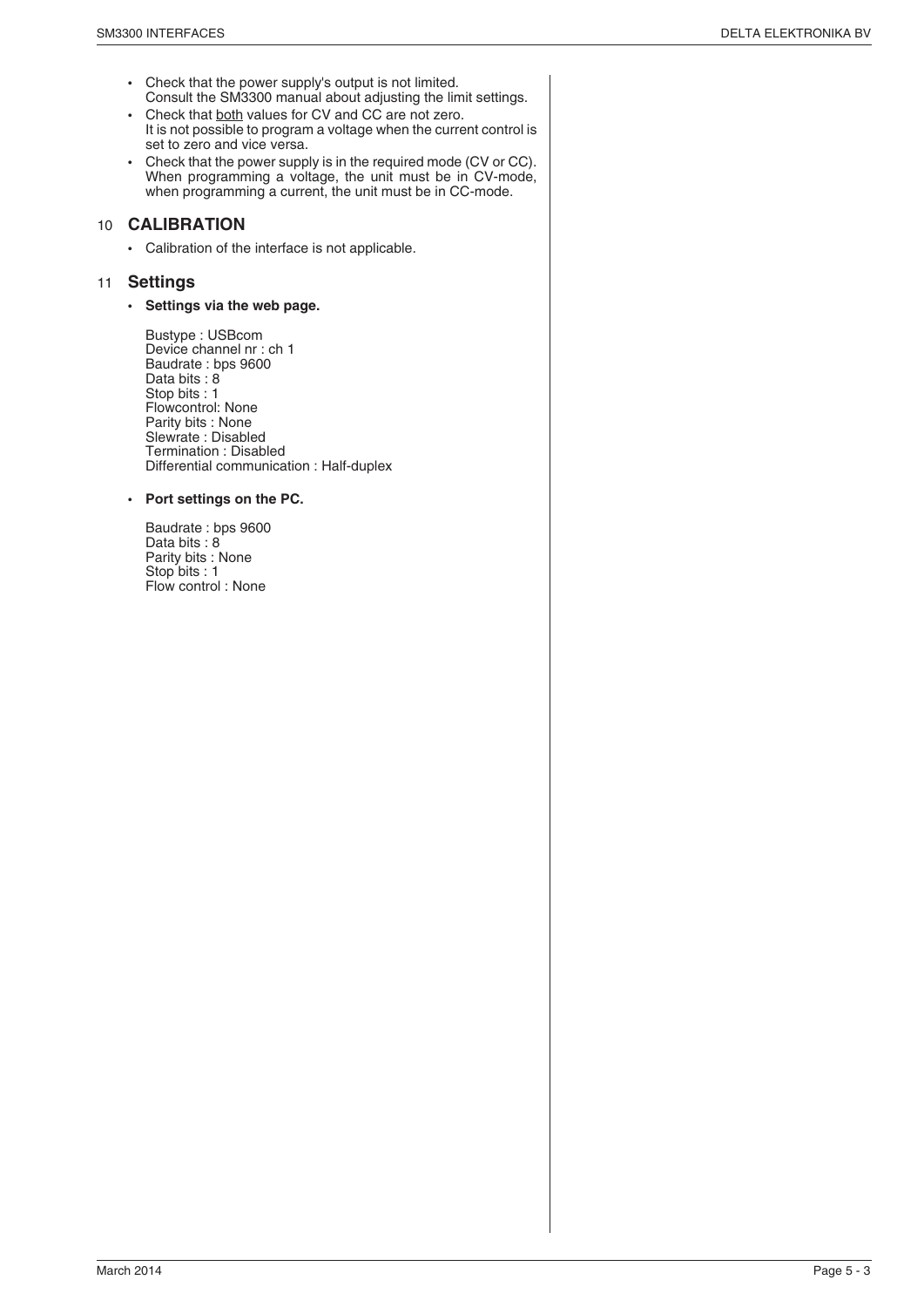- Check that the power supply's output is not limited. Consult the SM3300 manual about adjusting the limit settings.
- Check that both values for CV and CC are not zero. It is not possible to program a voltage when the current control is set to zero and vice versa.
- Check that the power supply is in the required mode (CV or CC). When programming a voltage, the unit must be in CV-mode, when programming a current, the unit must be in CC-mode.

#### 10 **CALIBRATION**

• Calibration of the interface is not applicable.

#### 11 **Settings**

• **Settings via the web page.**

Bustype : USBcom Device channel nr : ch 1 Baudrate : bps 9600 Data bits : 8 Stop bits : 1 Flowcontrol: None Parity bits : None Slewrate : Disabled Termination : Disabled Differential communication : Half-duplex

#### • **Port settings on the PC.**

Baudrate : bps 9600 Data bits : 8 Parity bits : None Stop bits : 1 Flow control : None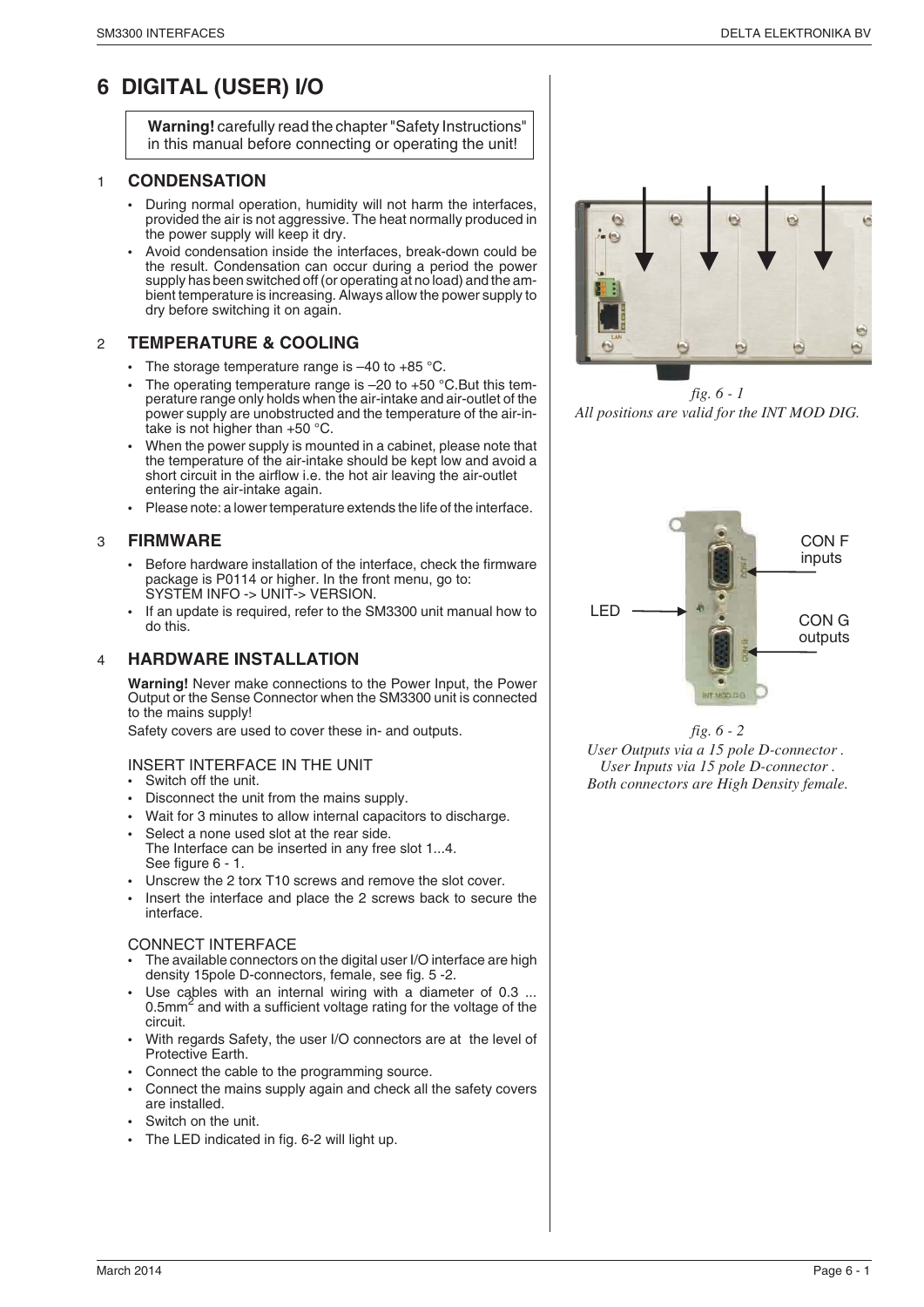### **6 DIGITAL (USER) I/O**

**Warning!** carefully read the chapter "Safety Instructions" in this manual before connecting or operating the unit!

#### 1 **CONDENSATION**

- During normal operation, humidity will not harm the interfaces, provided the air is not aggressive. The heat normally produced in the power supply will keep it dry.
- Avoid condensation inside the interfaces, break-down could be the result. Condensation can occur during a period the power supply has been switched off (or operating at no load) and the ambient temperature is increasing. Always allow the power supply to dry before switching it on again.

#### 2 **TEMPERATURE & COOLING**

- The storage temperature range is  $-40$  to  $+85$  °C.
- The operating temperature range is  $-20$  to  $+50$  °C. But this temperature range only holds when the air-intake and air-outlet of the power supply are unobstructed and the temperature of the air-intake is not higher than +50 °C.
- When the power supply is mounted in a cabinet, please note that the temperature of the air-intake should be kept low and avoid a short circuit in the airflow i.e. the hot air leaving the air-outlet entering the air-intake again.
- Please note: a lower temperature extends the life of the interface.

#### 3 **FIRMWARE**

- Before hardware installation of the interface, check the firmware package is P0114 or higher. In the front menu, go to: SYSTEM INFO -> UNIT-> VERSION.
- If an update is required, refer to the SM3300 unit manual how to do this.

#### 4 **HARDWARE INSTALLATION**

**Warning!** Never make connections to the Power Input, the Power Output or the Sense Connector when the SM3300 unit is connected to the mains supply!

Safety covers are used to cover these in- and outputs.

- INSERT INTERFACE IN THE UNIT
- Switch off the unit.
- Disconnect the unit from the mains supply.
- Wait for 3 minutes to allow internal capacitors to discharge.
- Select a none used slot at the rear side.
- The Interface can be inserted in any free slot 1...4. See figure 6 - 1.
- Unscrew the 2 torx T10 screws and remove the slot cover.
- Insert the interface and place the 2 screws back to secure the interface.

#### CONNECT INTERFACE

- The available connectors on the digital user I/O interface are high density 15pole D-connectors, female, see fig. 5 -2.
- Use cables with an internal wiring with a diameter of 0.3 ... 0.5 $mm<sup>2</sup>$  and with a sufficient voltage rating for the voltage of the circuit.
- With regards Safety, the user I/O connectors are at the level of Protective Earth.
- Connect the cable to the programming source.
- Connect the mains supply again and check all the safety covers are installed.
- Switch on the unit.
- The LED indicated in fig. 6-2 will light up.



*fig. 6 - 1 All positions are valid for the INT MOD DIG.*



*fig. 6 - 2*

*User Outputs via a 15 pole D-connector . User Inputs via 15 pole D-connector . Both connectors are High Density female.*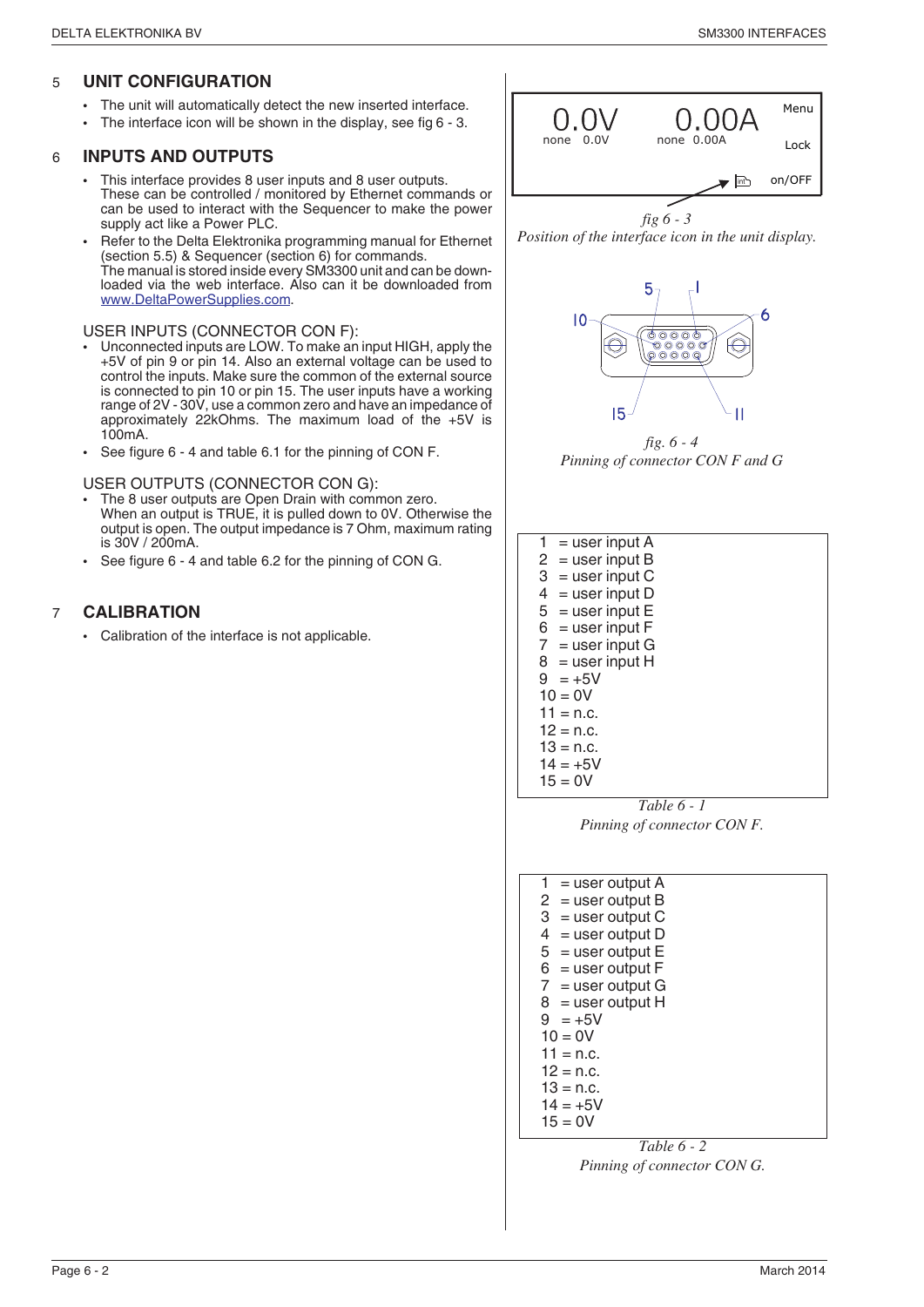#### 5 **UNIT CONFIGURATION**

- The unit will automatically detect the new inserted interface.
- The interface icon will be shown in the display, see fig 6 3.

#### 6 **INPUTS AND OUTPUTS**

- This interface provides 8 user inputs and 8 user outputs. These can be controlled / monitored by Ethernet commands or can be used to interact with the Sequencer to make the power supply act like a Power PLC.
- Refer to the Delta Elektronika programming manual for Ethernet (section 5.5) & Sequencer (section 6) for commands. The manual is stored inside every SM3300 unit and can be downloaded via the web interface. Also can it be downloaded from www.DeltaPowerSupplies.com.

#### USER INPUTS (CONNECTOR CON F):

- Unconnected inputs are LOW. To make an input HIGH, apply the +5V of pin 9 or pin 14. Also an external voltage can be used to control the inputs. Make sure the common of the external source is connected to pin 10 or pin 15. The user inputs have a working range of 2V - 30V, use a common zero and have an impedance of approximately 22kOhms. The maximum load of the +5V is 100mA.
- See figure 6 4 and table 6.1 for the pinning of CON F.

USER OUTPUTS (CONNECTOR CON G):

- The 8 user outputs are Open Drain with common zero. When an output is TRUE, it is pulled down to 0V. Otherwise the output is open. The output impedance is 7 Ohm, maximum rating is 30V / 200mA.
- See figure 6 4 and table 6.2 for the pinning of CON G.

#### 7 **CALIBRATION**

• Calibration of the interface is not applicable.



*Position of the interface icon in the unit display.*



*fig. 6 - 4 Pinning of connector CON F and G*

| $1 =$ user input A |  |
|--------------------|--|
| $2 =$ user input B |  |
| $3 =$ user input C |  |
| $4 =$ user input D |  |
| $5 =$ user input E |  |
| $6 =$ user input F |  |
| $7 =$ user input G |  |
| $8 =$ user input H |  |
| $9 = +5V$          |  |
| $10 = 0V$          |  |
| $11 = n.c.$        |  |
| $12 = n.c.$        |  |
| $13 = n.c.$        |  |
| $14 = +5V$         |  |
| $15 = 0V$          |  |
|                    |  |

*Table 6 - 1 Pinning of connector CON F.*



*Table 6 - 2 Pinning of connector CON G.*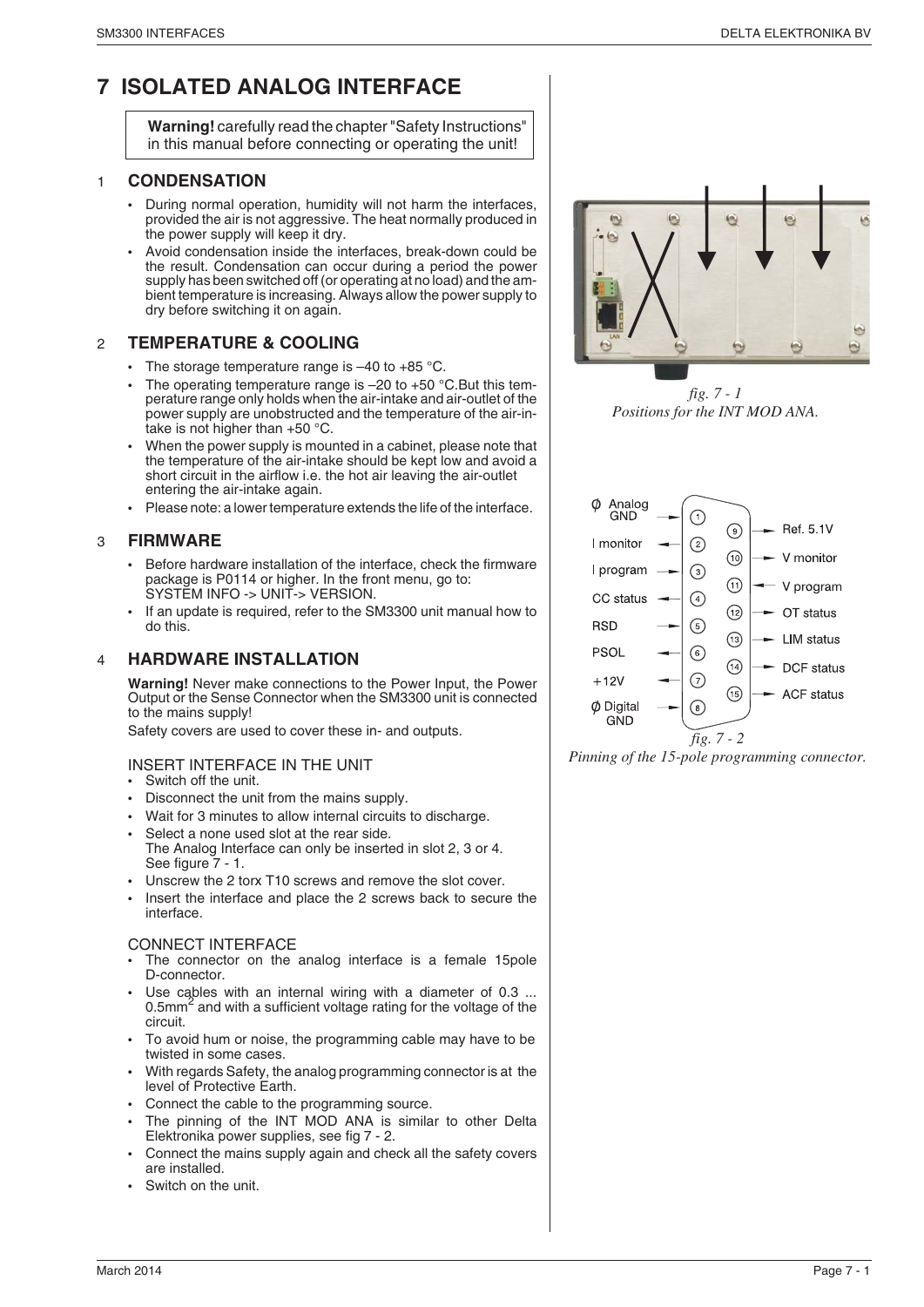### **7 ISOLATED ANALOG INTERFACE**

**Warning!** carefully read the chapter "Safety Instructions" in this manual before connecting or operating the unit!

#### 1 **CONDENSATION**

- During normal operation, humidity will not harm the interfaces, provided the air is not aggressive. The heat normally produced in the power supply will keep it dry.
- Avoid condensation inside the interfaces, break-down could be the result. Condensation can occur during a period the power supply has been switched off (or operating at no load) and the ambient temperature is increasing. Always allow the power supply to dry before switching it on again.

#### 2 **TEMPERATURE & COOLING**

- The storage temperature range is  $-40$  to  $+85$  °C.
- The operating temperature range is  $-20$  to  $+50$  °C. But this temperature range only holds when the air-intake and air-outlet of the power supply are unobstructed and the temperature of the air-intake is not higher than +50 °C.
- When the power supply is mounted in a cabinet, please note that the temperature of the air-intake should be kept low and avoid a short circuit in the airflow i.e. the hot air leaving the air-outlet entering the air-intake again.
- Please note: a lower temperature extends the life of the interface.

#### 3 **FIRMWARE**

- Before hardware installation of the interface, check the firmware package is P0114 or higher. In the front menu, go to: SYSTEM INFO -> UNIT-> VERSION.
- If an update is required, refer to the SM3300 unit manual how to do this.

#### 4 **HARDWARE INSTALLATION**

**Warning!** Never make connections to the Power Input, the Power Output or the Sense Connector when the SM3300 unit is connected to the mains supply!

Safety covers are used to cover these in- and outputs.

- INSERT INTERFACE IN THE UNIT
- Switch off the unit.
- Disconnect the unit from the mains supply.
- Wait for 3 minutes to allow internal circuits to discharge.
- Select a none used slot at the rear side.
- The Analog Interface can only be inserted in slot 2, 3 or 4. See figure  $7 - 1$ .
- Unscrew the 2 torx T10 screws and remove the slot cover.
- Insert the interface and place the 2 screws back to secure the interface.

#### CONNECT INTERFACE

- The connector on the analog interface is a female 15pole D-connector.
- Use cables with an internal wiring with a diameter of 0.3 ... 0.5 $mm<sup>2</sup>$  and with a sufficient voltage rating for the voltage of the circuit.
- To avoid hum or noise, the programming cable may have to be twisted in some cases.
- With regards Safety, the analog programming connector is at the level of Protective Earth.
- Connect the cable to the programming source.
- The pinning of the INT MOD ANA is similar to other Delta Elektronika power supplies, see fig 7 - 2.
- Connect the mains supply again and check all the safety covers are installed.
- Switch on the unit.



*fig. 7 - 1 Positions for the INT MOD ANA.*



*Pinning of the 15-pole programming connector.*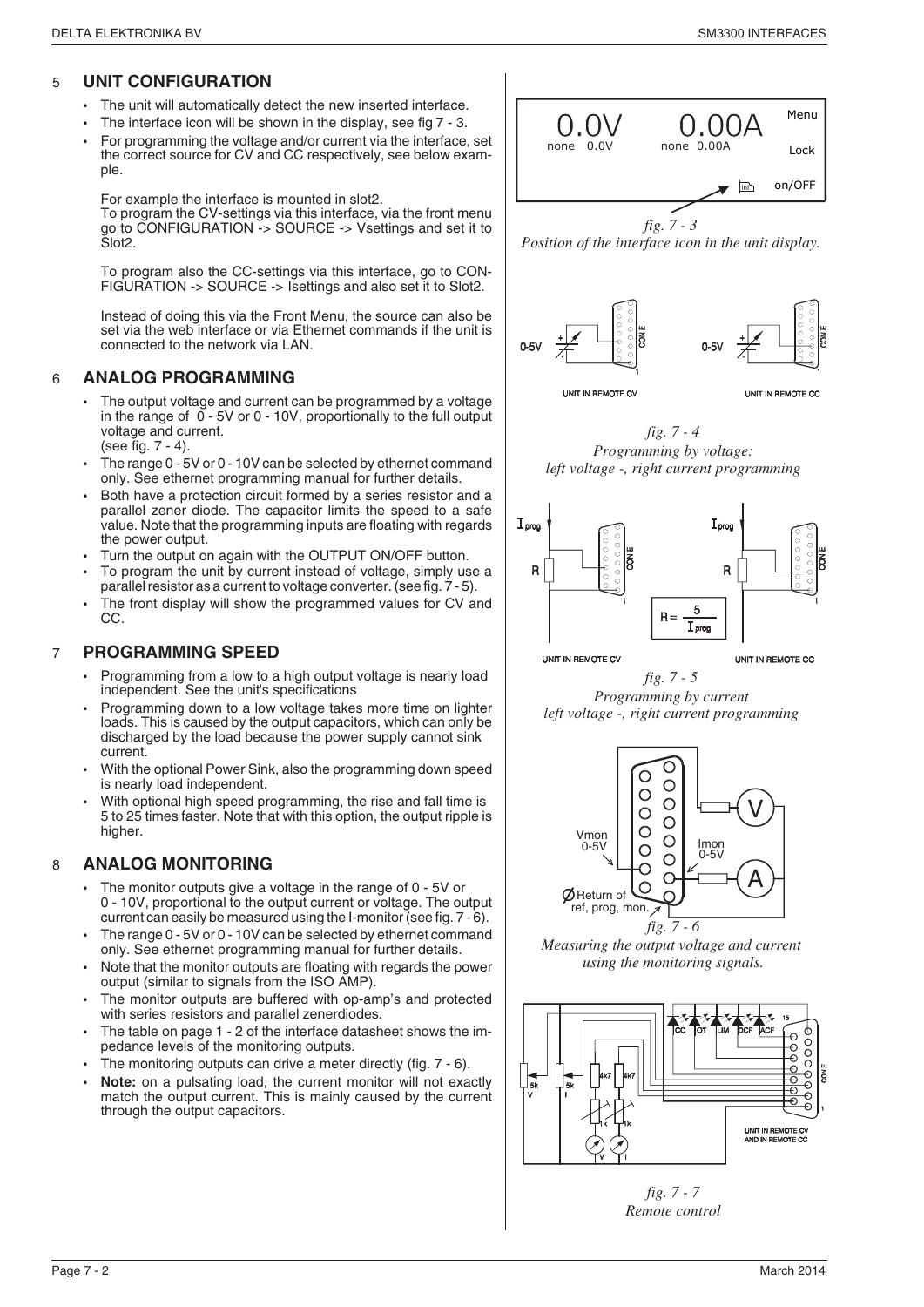#### 5 **UNIT CONFIGURATION**

- The unit will automatically detect the new inserted interface.
- The interface icon will be shown in the display, see fig 7 3.
- For programming the voltage and/or current via the interface, set the correct source for CV and CC respectively, see below example.

For example the interface is mounted in slot2.

To program the CV-settings via this interface, via the front menu go to CONFIGURATION -> SOURCE -> Vsettings and set it to Slot2.

To program also the CC-settings via this interface, go to CON-FIGURATION -> SOURCE -> Isettings and also set it to Slot2.

Instead of doing this via the Front Menu, the source can also be set via the web interface or via Ethernet commands if the unit is connected to the network via LAN.

#### 6 **ANALOG PROGRAMMING**

- The output voltage and current can be programmed by a voltage in the range of 0 - 5V or 0 - 10V, proportionally to the full output voltage and current. (see fig. 7 - 4).
- The range 0 5V or 0 10V can be selected by ethernet command only. See ethernet programming manual for further details.
- Both have a protection circuit formed by a series resistor and a parallel zener diode. The capacitor limits the speed to a safe value. Note that the programming inputs are floating with regards the power output.
- Turn the output on again with the OUTPUT ON/OFF button.
- To program the unit by current instead of voltage, simply use a parallel resistor as a current to voltage converter. (see fig. 7 - 5).
- The front display will show the programmed values for CV and CC.

#### 7 **PROGRAMMING SPEED**

- Programming from a low to a high output voltage is nearly load independent. See the unit's specifications
- Programming down to a low voltage takes more time on lighter loads. This is caused by the output capacitors, which can only be discharged by the load because the power supply cannot sink current.
- With the optional Power Sink, also the programming down speed is nearly load independent.
- With optional high speed programming, the rise and fall time is 5 to 25 times faster. Note that with this option, the output ripple is higher.

#### 8 **ANALOG MONITORING**

- The monitor outputs give a voltage in the range of 0 5V or 0 - 10V, proportional to the output current or voltage. The output current can easily be measured using the I-monitor (see fig. 7 - 6).
- The range 0 5V or 0 10V can be selected by ethernet command only. See ethernet programming manual for further details.
- Note that the monitor outputs are floating with regards the power output (similar to signals from the ISO AMP).
- The monitor outputs are buffered with op-amp's and protected with series resistors and parallel zenerdiodes.
- The table on page 1 2 of the interface datasheet shows the impedance levels of the monitoring outputs.
- The monitoring outputs can drive a meter directly (fig. 7 6).
- **Note:** on a pulsating load, the current monitor will not exactly match the output current. This is mainly caused by the current through the output capacitors.



*Position of the interface icon in the unit display.*



*fig. 7 - 4 Programming by voltage: left voltage -, right current programming*



UNIT IN REMOTE CO





*Measuring the output voltage and current using the monitoring signals.*



*fig. 7 - 7 Remote control*